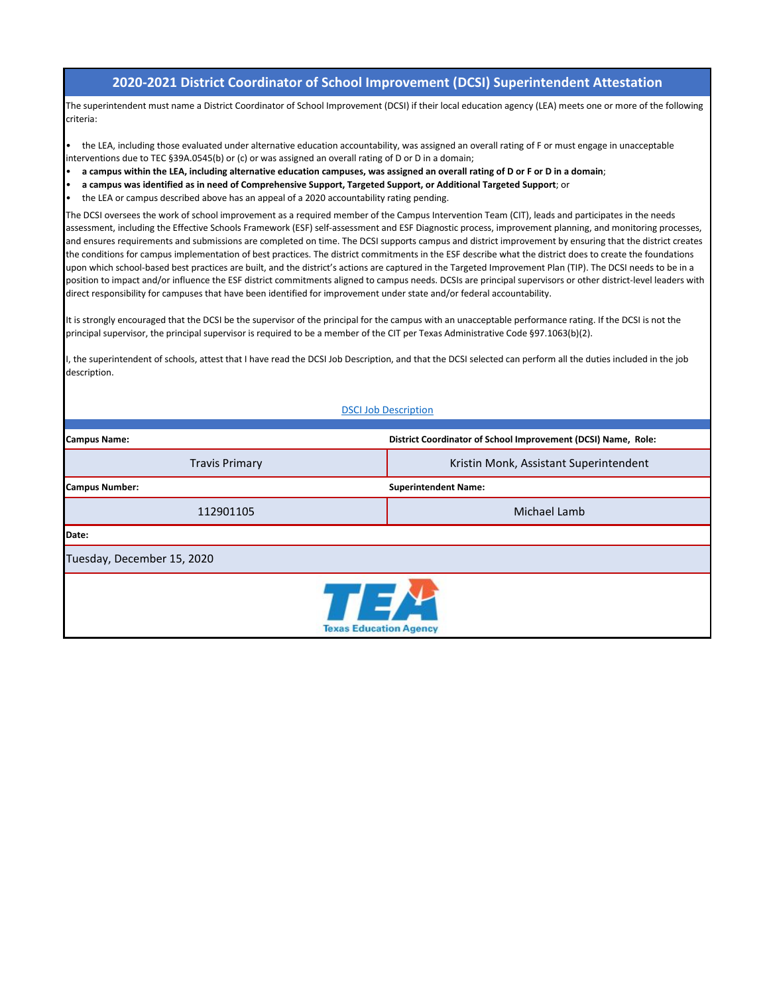## **2020-2021 District Coordinator of School Improvement (DCSI) Superintendent Attestation**

The superintendent must name a District Coordinator of School Improvement (DCSI) if their local education agency (LEA) meets one or more of the following criteria:

• the LEA, including those evaluated under alternative education accountability, was assigned an overall rating of F or must engage in unacceptable interventions due to TEC §39A.0545(b) or (c) or was assigned an overall rating of D or D in a domain;

- **a campus within the LEA, including alternative education campuses, was assigned an overall rating of D or F or D in a domain**;
- **a campus was identified as in need of Comprehensive Support, Targeted Support, or Additional Targeted Support**; or
- the LEA or campus described above has an appeal of a 2020 accountability rating pending.

The DCSI oversees the work of school improvement as a required member of the Campus Intervention Team (CIT), leads and participates in the needs assessment, including the Effective Schools Framework (ESF) self-assessment and ESF Diagnostic process, improvement planning, and monitoring processes, and ensures requirements and submissions are completed on time. The DCSI supports campus and district improvement by ensuring that the district creates the conditions for campus implementation of best practices. The district commitments in the ESF describe what the district does to create the foundations upon which school-based best practices are built, and the district's actions are captured in the Targeted Improvement Plan (TIP). The DCSI needs to be in a position to impact and/or influence the ESF district commitments aligned to campus needs. DCSIs are principal supervisors or other district-level leaders with direct responsibility for campuses that have been identified for improvement under state and/or federal accountability.

It is strongly encouraged that the DCSI be the supervisor of the principal for the campus with an unacceptable performance rating. If the DCSI is not the principal supervisor, the principal supervisor is required to be a member of the CIT per Texas Administrative Code §97.1063(b)(2).

I, the superintendent of schools, attest that I have read the DCSI Job Description, and that the DCSI selected can perform all the duties included in the job description.

## **DSCI Job Description**

| <b>Campus Name:</b>                                     | District Coordinator of School Improvement (DCSI) Name, Role: |  |  |  |  |  |  |  |  |
|---------------------------------------------------------|---------------------------------------------------------------|--|--|--|--|--|--|--|--|
| <b>Travis Primary</b>                                   | Kristin Monk, Assistant Superintendent                        |  |  |  |  |  |  |  |  |
| <b>Campus Number:</b>                                   | <b>Superintendent Name:</b>                                   |  |  |  |  |  |  |  |  |
| 112901105                                               | Michael Lamb                                                  |  |  |  |  |  |  |  |  |
| Date:                                                   |                                                               |  |  |  |  |  |  |  |  |
| Tuesday, December 15, 2020                              |                                                               |  |  |  |  |  |  |  |  |
| $\Gamma = \frac{1}{2}$<br><b>Texas Education Agency</b> |                                                               |  |  |  |  |  |  |  |  |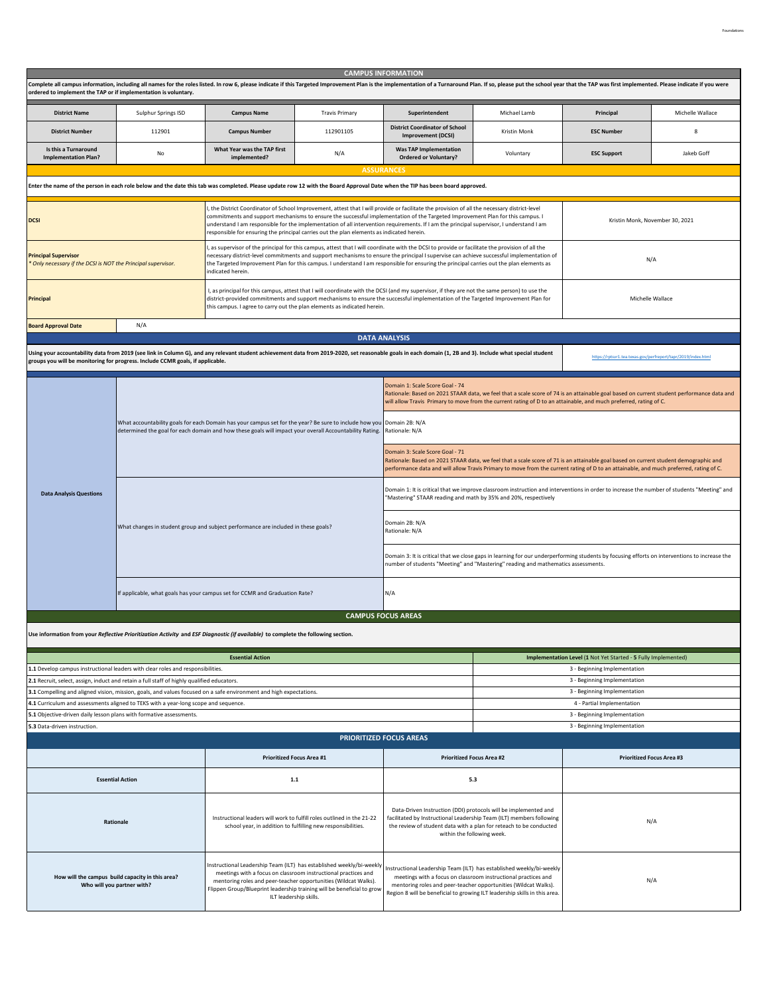|                                                                                            |                                                                                            |                                                                                                                                                                                                                                  |                                                                                                                                                                                                             | <b>CAMPUS INFORMATION</b>                                                                                                                                                                                                                                                                                                                                                                                                               |                                                                                                                                                                                                               |                                                                                                                                                                                                                                                                                |                  |  |  |  |
|--------------------------------------------------------------------------------------------|--------------------------------------------------------------------------------------------|----------------------------------------------------------------------------------------------------------------------------------------------------------------------------------------------------------------------------------|-------------------------------------------------------------------------------------------------------------------------------------------------------------------------------------------------------------|-----------------------------------------------------------------------------------------------------------------------------------------------------------------------------------------------------------------------------------------------------------------------------------------------------------------------------------------------------------------------------------------------------------------------------------------|---------------------------------------------------------------------------------------------------------------------------------------------------------------------------------------------------------------|--------------------------------------------------------------------------------------------------------------------------------------------------------------------------------------------------------------------------------------------------------------------------------|------------------|--|--|--|
| ordered to implement the TAP or if implementation is voluntary.                            |                                                                                            |                                                                                                                                                                                                                                  |                                                                                                                                                                                                             | Complete all campus information, including all names for the roles listed. In row 6, please indicate if this Targeted Improvement Plan is the implementation of a Turnaround Plan. If so, please put the school year that the                                                                                                                                                                                                           |                                                                                                                                                                                                               |                                                                                                                                                                                                                                                                                |                  |  |  |  |
| <b>District Name</b>                                                                       | Sulphur Springs ISD                                                                        | <b>Campus Name</b>                                                                                                                                                                                                               | <b>Travis Primary</b>                                                                                                                                                                                       | Superintendent                                                                                                                                                                                                                                                                                                                                                                                                                          | Michael Lamb                                                                                                                                                                                                  | Principal                                                                                                                                                                                                                                                                      | Michelle Wallace |  |  |  |
| <b>District Number</b>                                                                     | 112901                                                                                     | <b>Campus Number</b>                                                                                                                                                                                                             | 112901105                                                                                                                                                                                                   | <b>District Coordinator of School</b><br><b>Improvement (DCSI)</b>                                                                                                                                                                                                                                                                                                                                                                      | Kristin Monk                                                                                                                                                                                                  | <b>ESC Number</b>                                                                                                                                                                                                                                                              | 8                |  |  |  |
| Is this a Turnaround<br><b>Implementation Plan?</b>                                        | No                                                                                         | What Year was the TAP first<br>implemented?                                                                                                                                                                                      | N/A                                                                                                                                                                                                         | <b>Was TAP Implementation</b><br><b>Ordered or Voluntary?</b>                                                                                                                                                                                                                                                                                                                                                                           | Voluntary                                                                                                                                                                                                     | <b>ESC Support</b>                                                                                                                                                                                                                                                             | Jakeb Goff       |  |  |  |
|                                                                                            |                                                                                            |                                                                                                                                                                                                                                  |                                                                                                                                                                                                             | <b>ASSURANCES</b>                                                                                                                                                                                                                                                                                                                                                                                                                       |                                                                                                                                                                                                               |                                                                                                                                                                                                                                                                                |                  |  |  |  |
|                                                                                            |                                                                                            |                                                                                                                                                                                                                                  |                                                                                                                                                                                                             | Enter the name of the person in each role below and the date this tab was completed. Please update row 12 with the Board Approval Date when the TIP has been board approved.                                                                                                                                                                                                                                                            |                                                                                                                                                                                                               |                                                                                                                                                                                                                                                                                |                  |  |  |  |
| <b>DCSI</b>                                                                                |                                                                                            |                                                                                                                                                                                                                                  | responsible for ensuring the principal carries out the plan elements as indicated herein.                                                                                                                   | I, the District Coordinator of School Improvement, attest that I will provide or facilitate the provision of all the necessary district-level<br>commitments and support mechanisms to ensure the successful implementation of the Targeted Improvement Plan for this campus. I<br>understand I am responsible for the implementation of all intervention requirements. If I am the principal supervisor, I understand I am             |                                                                                                                                                                                                               | Kristin Monk, November 30, 2021                                                                                                                                                                                                                                                |                  |  |  |  |
| <b>Principal Supervisor</b><br>Only necessary if the DCSI is NOT the Principal supervisor. |                                                                                            | indicated herein.                                                                                                                                                                                                                |                                                                                                                                                                                                             | , as supervisor of the principal for this campus, attest that I will coordinate with the DCSI to provide or facilitate the provision of all the<br>necessary district-level commitments and support mechanisms to ensure the principal I supervise can achieve successful implementation of<br>the Targeted Improvement Plan for this campus. I understand I am responsible for ensuring the principal carries out the plan elements as | N/A                                                                                                                                                                                                           |                                                                                                                                                                                                                                                                                |                  |  |  |  |
| <b>Principal</b>                                                                           |                                                                                            | this campus. I agree to carry out the plan elements as indicated herein.                                                                                                                                                         |                                                                                                                                                                                                             | I, as principal for this campus, attest that I will coordinate with the DCSI (and my supervisor, if they are not the same person) to use the<br>district-provided commitments and support mechanisms to ensure the successful implementation of the Targeted Improvement Plan for                                                                                                                                                       |                                                                                                                                                                                                               | Michelle Wallace                                                                                                                                                                                                                                                               |                  |  |  |  |
| N/A<br><b>Board Approval Date</b>                                                          |                                                                                            |                                                                                                                                                                                                                                  |                                                                                                                                                                                                             |                                                                                                                                                                                                                                                                                                                                                                                                                                         |                                                                                                                                                                                                               |                                                                                                                                                                                                                                                                                |                  |  |  |  |
|                                                                                            |                                                                                            |                                                                                                                                                                                                                                  |                                                                                                                                                                                                             | <b>DATA ANALYSIS</b>                                                                                                                                                                                                                                                                                                                                                                                                                    |                                                                                                                                                                                                               |                                                                                                                                                                                                                                                                                |                  |  |  |  |
|                                                                                            | groups you will be monitoring for progress. Include CCMR goals, if applicable.             |                                                                                                                                                                                                                                  |                                                                                                                                                                                                             | Using your accountability data from 2019 (see link in Column G), and any relevant student achievement data from 2019-2020, set reasonable goals in each domain (1, 2B and 3). Include what special student                                                                                                                                                                                                                              |                                                                                                                                                                                                               | https://rptsvr1.tea.texas.gov/perfreport/tapr/2019/index.html                                                                                                                                                                                                                  |                  |  |  |  |
|                                                                                            |                                                                                            |                                                                                                                                                                                                                                  |                                                                                                                                                                                                             |                                                                                                                                                                                                                                                                                                                                                                                                                                         |                                                                                                                                                                                                               |                                                                                                                                                                                                                                                                                |                  |  |  |  |
|                                                                                            |                                                                                            |                                                                                                                                                                                                                                  |                                                                                                                                                                                                             | Domain 1: Scale Score Goal - 74                                                                                                                                                                                                                                                                                                                                                                                                         |                                                                                                                                                                                                               | Rationale: Based on 2021 STAAR data, we feel that a scale score of 74 is an attainable goal based on current student performance data and<br>will allow Travis Primary to move from the current rating of D to an attainable, and much preferred, rating of C.                 |                  |  |  |  |
|                                                                                            |                                                                                            | What accountability goals for each Domain has your campus set for the year? Be sure to include how you Domain 2B: N/A<br>determined the goal for each domain and how these goals will impact your overall Accountability Rating. |                                                                                                                                                                                                             | Rationale: N/A                                                                                                                                                                                                                                                                                                                                                                                                                          |                                                                                                                                                                                                               |                                                                                                                                                                                                                                                                                |                  |  |  |  |
|                                                                                            |                                                                                            |                                                                                                                                                                                                                                  |                                                                                                                                                                                                             | Domain 3: Scale Score Goal - 71                                                                                                                                                                                                                                                                                                                                                                                                         |                                                                                                                                                                                                               | Rationale: Based on 2021 STAAR data, we feel that a scale score of 71 is an attainable goal based on current student demographic and<br>performance data and will allow Travis Primary to move from the current rating of D to an attainable, and much preferred, rating of C. |                  |  |  |  |
| <b>Data Analysis Questions</b>                                                             |                                                                                            |                                                                                                                                                                                                                                  |                                                                                                                                                                                                             | "Mastering" STAAR reading and math by 35% and 20%, respectively                                                                                                                                                                                                                                                                                                                                                                         |                                                                                                                                                                                                               | Domain 1: It is critical that we improve classroom instruction and interventions in order to increase the number of students "Meeting" and                                                                                                                                     |                  |  |  |  |
|                                                                                            |                                                                                            | What changes in student group and subject performance are included in these goals?                                                                                                                                               |                                                                                                                                                                                                             | Domain 2B: N/A<br>Rationale: N/A                                                                                                                                                                                                                                                                                                                                                                                                        |                                                                                                                                                                                                               |                                                                                                                                                                                                                                                                                |                  |  |  |  |
|                                                                                            |                                                                                            |                                                                                                                                                                                                                                  |                                                                                                                                                                                                             | Domain 3: It is critical that we close gaps in learning for our underperforming students by focusing efforts on interventions to increase the<br>number of students "Meeting" and "Mastering" reading and mathematics assessments.                                                                                                                                                                                                      |                                                                                                                                                                                                               |                                                                                                                                                                                                                                                                                |                  |  |  |  |
|                                                                                            |                                                                                            | If applicable, what goals has your campus set for CCMR and Graduation Rate?                                                                                                                                                      |                                                                                                                                                                                                             | N/A                                                                                                                                                                                                                                                                                                                                                                                                                                     |                                                                                                                                                                                                               |                                                                                                                                                                                                                                                                                |                  |  |  |  |
|                                                                                            |                                                                                            |                                                                                                                                                                                                                                  |                                                                                                                                                                                                             | <b>CAMPUS FOCUS AREAS</b>                                                                                                                                                                                                                                                                                                                                                                                                               |                                                                                                                                                                                                               |                                                                                                                                                                                                                                                                                |                  |  |  |  |
|                                                                                            |                                                                                            | Use information from your Reflective Prioritization Activity and ESF Diagnostic (if available) to complete the following section.                                                                                                |                                                                                                                                                                                                             |                                                                                                                                                                                                                                                                                                                                                                                                                                         |                                                                                                                                                                                                               |                                                                                                                                                                                                                                                                                |                  |  |  |  |
|                                                                                            |                                                                                            |                                                                                                                                                                                                                                  |                                                                                                                                                                                                             |                                                                                                                                                                                                                                                                                                                                                                                                                                         |                                                                                                                                                                                                               |                                                                                                                                                                                                                                                                                |                  |  |  |  |
|                                                                                            | 1.1 Develop campus instructional leaders with clear roles and responsibilities.            | <b>Essential Action</b>                                                                                                                                                                                                          |                                                                                                                                                                                                             |                                                                                                                                                                                                                                                                                                                                                                                                                                         |                                                                                                                                                                                                               | Implementation Level (1 Not Yet Started - 5 Fully Implemented)<br>3 - Beginning Implementation                                                                                                                                                                                 |                  |  |  |  |
|                                                                                            | 2.1 Recruit, select, assign, induct and retain a full staff of highly qualified educators. |                                                                                                                                                                                                                                  |                                                                                                                                                                                                             |                                                                                                                                                                                                                                                                                                                                                                                                                                         |                                                                                                                                                                                                               | 3 - Beginning Implementation                                                                                                                                                                                                                                                   |                  |  |  |  |
|                                                                                            |                                                                                            | 3.1 Compelling and aligned vision, mission, goals, and values focused on a safe environment and high expectations.                                                                                                               |                                                                                                                                                                                                             |                                                                                                                                                                                                                                                                                                                                                                                                                                         |                                                                                                                                                                                                               | 3 - Beginning Implementation                                                                                                                                                                                                                                                   |                  |  |  |  |
| 5.1 Objective-driven daily lesson plans with formative assessments.                        | 4.1 Curriculum and assessments aligned to TEKS with a year-long scope and sequence.        |                                                                                                                                                                                                                                  |                                                                                                                                                                                                             |                                                                                                                                                                                                                                                                                                                                                                                                                                         |                                                                                                                                                                                                               | 4 - Partial Implementation<br>3 - Beginning Implementation                                                                                                                                                                                                                     |                  |  |  |  |
| 5.3 Data-driven instruction.                                                               |                                                                                            |                                                                                                                                                                                                                                  |                                                                                                                                                                                                             |                                                                                                                                                                                                                                                                                                                                                                                                                                         |                                                                                                                                                                                                               | 3 - Beginning Implementation                                                                                                                                                                                                                                                   |                  |  |  |  |
|                                                                                            |                                                                                            |                                                                                                                                                                                                                                  |                                                                                                                                                                                                             | <b>PRIORITIZED FOCUS AREAS</b>                                                                                                                                                                                                                                                                                                                                                                                                          |                                                                                                                                                                                                               |                                                                                                                                                                                                                                                                                |                  |  |  |  |
|                                                                                            |                                                                                            | <b>Prioritized Focus Area #1</b>                                                                                                                                                                                                 |                                                                                                                                                                                                             | <b>Prioritized Focus Area #2</b>                                                                                                                                                                                                                                                                                                                                                                                                        |                                                                                                                                                                                                               | <b>Prioritized Focus Area #3</b>                                                                                                                                                                                                                                               |                  |  |  |  |
|                                                                                            | <b>Essential Action</b>                                                                    |                                                                                                                                                                                                                                  | 1.1                                                                                                                                                                                                         |                                                                                                                                                                                                                                                                                                                                                                                                                                         | 5.3                                                                                                                                                                                                           |                                                                                                                                                                                                                                                                                |                  |  |  |  |
|                                                                                            | Rationale                                                                                  | school year, in addition to fulfilling new responsibilities.                                                                                                                                                                     | Instructional leaders will work to fulfill roles outlined in the 21-22                                                                                                                                      | within the following week.                                                                                                                                                                                                                                                                                                                                                                                                              | Data-Driven Instruction (DDI) protocols will be implemented and<br>facilitated by Instructional Leadership Team (ILT) members following<br>the review of student data with a plan for reteach to be conducted | N/A                                                                                                                                                                                                                                                                            |                  |  |  |  |
|                                                                                            | How will the campus build capacity in this area?<br>Who will you partner with?             | Instructional Leadership Team (ILT) has established weekly/bi-weekly<br>ILT leadership skills.                                                                                                                                   | meetings with a focus on classroom instructional practices and<br>mentoring roles and peer-teacher opportunities (Wildcat Walks).<br>Flippen Group/Blueprint leadership training will be beneficial to grow | nstructional Leadership Team (ILT) has established weekly/bi-weekly<br>meetings with a focus on classroom instructional practices and<br>N/A<br>mentoring roles and peer-teacher opportunities (Wildcat Walks).<br>Region 8 will be beneficial to growing ILT leadership skills in this area.                                                                                                                                           |                                                                                                                                                                                                               |                                                                                                                                                                                                                                                                                |                  |  |  |  |

Foundations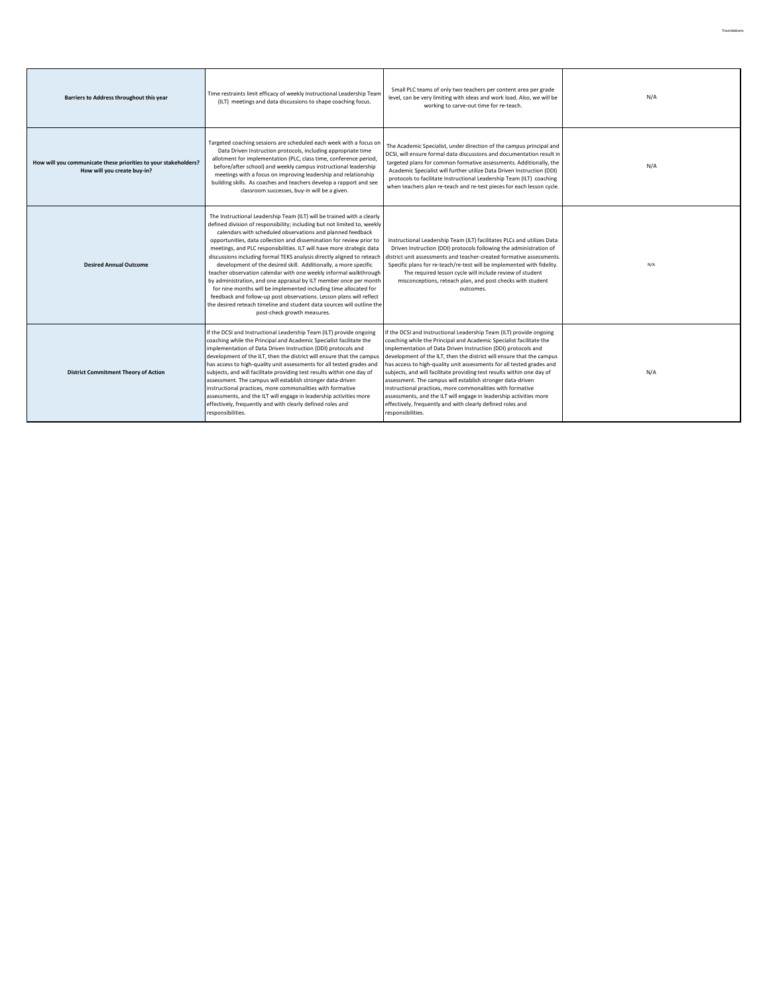| Barriers to Address throughout this year                                                       | Time restraints limit efficacy of weekly Instructional Leadership Team<br>(ILT) meetings and data discussions to shape coaching focus.                                                                                                                                                                                                                                                                                                                                                                                                                                                                                                                                                                                                                                                                                                                                                                       | Small PLC teams of only two teachers per content area per grade<br>level, can be very limiting with ideas and work load. Also, we will be<br>working to carve-out time for re-teach.                                                                                                                                                                                                                                                                                                                                                                                                                                                                                                                                         | N/A |
|------------------------------------------------------------------------------------------------|--------------------------------------------------------------------------------------------------------------------------------------------------------------------------------------------------------------------------------------------------------------------------------------------------------------------------------------------------------------------------------------------------------------------------------------------------------------------------------------------------------------------------------------------------------------------------------------------------------------------------------------------------------------------------------------------------------------------------------------------------------------------------------------------------------------------------------------------------------------------------------------------------------------|------------------------------------------------------------------------------------------------------------------------------------------------------------------------------------------------------------------------------------------------------------------------------------------------------------------------------------------------------------------------------------------------------------------------------------------------------------------------------------------------------------------------------------------------------------------------------------------------------------------------------------------------------------------------------------------------------------------------------|-----|
| How will you communicate these priorities to your stakeholders?<br>How will you create buy-in? | Targeted coaching sessions are scheduled each week with a focus on<br>Data Driven Instruction protocols, including appropriate time<br>allotment for implementation (PLC, class time, conference period,<br>before/after school) and weekly campus instructional leadership<br>meetings with a focus on improving leadership and relationship<br>building skills. As coaches and teachers develop a rapport and see<br>classroom successes, buy-in will be a given.                                                                                                                                                                                                                                                                                                                                                                                                                                          | The Academic Specialist, under direction of the campus principal and<br>DCSI, will ensure formal data discussions and documentation result in<br>targeted plans for common formative assessments. Additionally, the<br>Academic Specialist will further utilize Data Driven Instruction (DDI)<br>protocols to facilitate Instructional Leadership Team (ILT) coaching<br>when teachers plan re-teach and re-test pieces for each lesson cycle.                                                                                                                                                                                                                                                                               | N/A |
| <b>Desired Annual Outcome</b>                                                                  | The Instructional Leadership Team (ILT) will be trained with a clearly<br>defined division of responsibility; including but not limited to, weekly<br>calendars with scheduled observations and planned feedback<br>opportunities, data collection and dissemination for review prior to<br>meetings, and PLC responsibilities. ILT will have more strategic data<br>discussions including formal TEKS analysis directly aligned to reteach<br>development of the desired skill. Additionally, a more specific<br>teacher observation calendar with one weekly informal walkthrough<br>by administration, and one appraisal by ILT member once per month<br>for nine months will be implemented including time allocated for<br>feedback and follow-up post observations. Lesson plans will reflect<br>the desired reteach timeline and student data sources will outline the<br>post-check growth measures. | Instructional Leadership Team (ILT) facilitates PLCs and utilizes Data<br>Driven Instruction (DDI) protocols following the administration of<br>district unit assessments and teacher-created formative assessments.<br>Specific plans for re-teach/re-test will be implemented with fidelity.<br>The required lesson cycle will include review of student<br>misconceptions, reteach plan, and post checks with student<br>outcomes.                                                                                                                                                                                                                                                                                        | N/A |
| <b>District Commitment Theory of Action</b>                                                    | If the DCSI and Instructional Leadership Team (ILT) provide ongoing<br>coaching while the Principal and Academic Specialist facilitate the<br>implementation of Data Driven Instruction (DDI) protocols and<br>development of the ILT, then the district will ensure that the campus<br>has access to high-quality unit assessments for all tested grades and<br>subjects, and will facilitate providing test results within one day of<br>assessment. The campus will establish stronger data-driven<br>instructional practices, more commonalities with formative<br>assessments, and the ILT will engage in leadership activities more<br>effectively, frequently and with clearly defined roles and<br>responsibilities.                                                                                                                                                                                 | If the DCSI and Instructional Leadership Team (ILT) provide ongoing<br>coaching while the Principal and Academic Specialist facilitate the<br>implementation of Data Driven Instruction (DDI) protocols and<br>development of the ILT, then the district will ensure that the campus<br>has access to high-quality unit assessments for all tested grades and<br>subjects, and will facilitate providing test results within one day of<br>assessment. The campus will establish stronger data-driven<br>instructional practices, more commonalities with formative<br>assessments, and the ILT will engage in leadership activities more<br>effectively, frequently and with clearly defined roles and<br>responsibilities. | N/A |

Foundations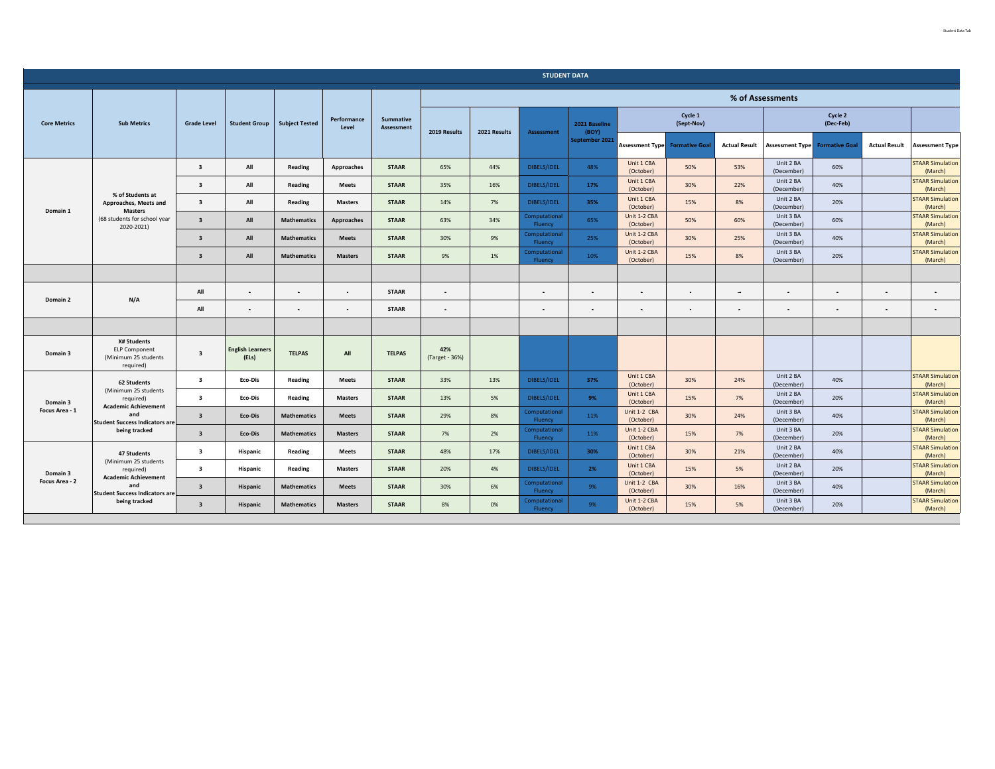|                     |                                                                                 |                         |                                  |                       |                      |                                |                       |                          | <b>STUDENT DATA</b>      |                           |                           |                       |                         |                         |                       |                                    |                                    |
|---------------------|---------------------------------------------------------------------------------|-------------------------|----------------------------------|-----------------------|----------------------|--------------------------------|-----------------------|--------------------------|--------------------------|---------------------------|---------------------------|-----------------------|-------------------------|-------------------------|-----------------------|------------------------------------|------------------------------------|
|                     |                                                                                 |                         |                                  |                       |                      |                                |                       |                          |                          |                           |                           |                       |                         | % of Assessments        |                       |                                    |                                    |
| <b>Core Metrics</b> | <b>Sub Metrics</b>                                                              | <b>Grade Level</b>      | <b>Student Group</b>             | <b>Subject Tested</b> | Performance<br>Level | Summative<br><b>Assessment</b> | 2019 Results          | 2021 Results             | <b>Assessment</b>        | 2021 Baseline<br>(BOY)    |                           | Cycle 1<br>(Sept-Nov) |                         |                         | Cycle 2<br>(Dec-Feb)  |                                    |                                    |
|                     |                                                                                 |                         |                                  |                       |                      |                                |                       |                          |                          | September 2021            | <b>Assessment Type</b>    | <b>Formative Goal</b> | <b>Actual Result</b>    | <b>Assessment Type</b>  | <b>Formative Goal</b> | <b>Actual Result</b>               | <b>Assessment Type</b>             |
|                     |                                                                                 | $\overline{\mathbf{3}}$ | All                              | Reading               | Approaches           | <b>STAAR</b>                   | 65%                   | 44%                      | DIBELS/IDEL              | 48%                       | Unit 1 CBA<br>(October)   | 50%                   | 53%                     | Unit 2 BA<br>(December) | 60%                   |                                    | <b>STAAR Simulation</b><br>(March) |
|                     |                                                                                 | $\overline{\mathbf{3}}$ | All                              | Reading               | Meets                | <b>STAAR</b>                   | 35%                   | 16%                      | DIBELS/IDEL              | 17%                       | Unit 1 CBA<br>(October)   | 30%                   | 22%                     | Unit 2 BA<br>(December) | 40%                   |                                    | <b>STAAR Simulation</b><br>(March) |
| Domain 1            | % of Students at<br>Approaches, Meets and<br><b>Masters</b>                     | $\overline{\mathbf{3}}$ | All                              | Reading               | <b>Masters</b>       | <b>STAAR</b>                   | 14%                   | 7%                       | DIBELS/IDEL              | 35%                       | Unit 1 CBA<br>(October)   | 15%                   | 8%                      | Unit 2 BA<br>(December) | 20%                   |                                    | <b>STAAR Simulation</b><br>(March) |
|                     | (68 students for school year<br>2020-2021)                                      | $\overline{\mathbf{3}}$ | All                              | <b>Mathematics</b>    | Approaches           | <b>STAAR</b>                   | 63%                   | 34%                      | Computational<br>Fluency | 65%                       | Unit 1-2 CBA<br>(October) | 50%                   | 60%                     | Unit 3 BA<br>(December) | 60%                   |                                    | <b>STAAR Simulation</b><br>(March) |
|                     |                                                                                 | $\overline{\mathbf{3}}$ | All                              | <b>Mathematics</b>    | <b>Meets</b>         | <b>STAAR</b>                   | 30%                   | 9%                       | Computational<br>Fluency | 25%                       | Unit 1-2 CBA<br>(October) | 30%                   | 25%                     | Unit 3 BA<br>(December) | 40%                   |                                    | <b>STAAR Simulation</b><br>(March) |
|                     | $\overline{\mathbf{3}}$                                                         | All                     | <b>Mathematics</b>               | <b>Masters</b>        | <b>STAAR</b>         | 9%                             | 1%                    | Computational<br>Fluency | 10%                      | Unit 1-2 CBA<br>(October) | 15%                       | 8%                    | Unit 3 BA<br>(December) | 20%                     |                       | <b>STAAR Simulation</b><br>(March) |                                    |
|                     |                                                                                 |                         |                                  |                       |                      |                                |                       |                          |                          |                           |                           |                       |                         |                         |                       |                                    |                                    |
| Domain 2            | N/A                                                                             | All                     | $\sim$                           | $\sim$                | $\sim$               | <b>STAAR</b>                   |                       |                          | $\blacksquare$           | $\sim$                    | $\sim$                    |                       | $\qquad \qquad$         | $\sim$                  | $\sim$                | $\sim$                             | $\sim$                             |
|                     |                                                                                 | All                     | $\sim$                           | $\blacksquare$        |                      | <b>STAAR</b>                   |                       |                          |                          |                           | ٠                         |                       | $\blacksquare$          |                         | $\sim$                | $\sim$                             |                                    |
|                     |                                                                                 |                         |                                  |                       |                      |                                |                       |                          |                          |                           |                           |                       |                         |                         |                       |                                    |                                    |
| Domain 3            | <b>X# Students</b><br><b>ELP Component</b><br>(Minimum 25 students<br>required) | $\overline{\mathbf{3}}$ | <b>English Learners</b><br>(ELs) | <b>TELPAS</b>         | All                  | <b>TELPAS</b>                  | 42%<br>(Target - 36%) |                          |                          |                           |                           |                       |                         |                         |                       |                                    |                                    |
|                     | 62 Students                                                                     | $\overline{\mathbf{3}}$ | Eco-Dis                          | Reading               | Meets                | <b>STAAR</b>                   | 33%                   | 13%                      | DIBELS/IDEL              | 37%                       | Unit 1 CBA<br>(October)   | 30%                   | 24%                     | Unit 2 BA<br>(December) | 40%                   |                                    | <b>STAAR Simulation</b><br>(March) |
| Domain 3            | (Minimum 25 students<br>required)<br><b>Academic Achievement</b>                | $\overline{\mathbf{3}}$ | Eco-Dis                          | Reading               | <b>Masters</b>       | <b>STAAR</b>                   | 13%                   | 5%                       | DIBELS/IDEL              | 9%                        | Unit 1 CBA<br>(October)   | 15%                   | 7%                      | Unit 2 BA<br>(December) | 20%                   |                                    | <b>STAAR Simulation</b><br>(March) |
| Focus Area - 1      | and<br><b>Student Success Indicators are</b>                                    | $\overline{\mathbf{3}}$ | Eco-Dis                          | <b>Mathematics</b>    | <b>Meets</b>         | <b>STAAR</b>                   | 29%                   | 8%                       | Computational<br>Fluency | 11%                       | Unit 1-2 CBA<br>(October) | 30%                   | 24%                     | Unit 3 BA<br>(December) | 40%                   |                                    | <b>STAAR Simulation</b><br>(March) |
|                     | being tracked                                                                   | $\overline{\mathbf{3}}$ | Eco-Dis                          | <b>Mathematics</b>    | <b>Masters</b>       | <b>STAAR</b>                   | 7%                    | 2%                       | Computational<br>Fluency | 11%                       | Unit 1-2 CBA<br>(October) | 15%                   | 7%                      | Unit 3 BA<br>(December) | 20%                   |                                    | <b>STAAR Simulation</b><br>(March) |
|                     | 47 Students                                                                     | $\overline{\mathbf{3}}$ | Hispanic                         | Reading               | Meets                | <b>STAAR</b>                   | 48%                   | 17%                      | DIBELS/IDEL              | 30%                       | Unit 1 CBA<br>(October)   | 30%                   | 21%                     | Unit 2 BA<br>(December) | 40%                   |                                    | <b>STAAR Simulation</b><br>(March) |
| Domain 3            | (Minimum 25 students<br>required)<br><b>Academic Achievement</b>                | $\overline{\mathbf{3}}$ | Hispanic                         | Reading               | <b>Masters</b>       | <b>STAAR</b>                   | 20%                   | 4%                       | DIBELS/IDEL              | 2%                        | Unit 1 CBA<br>(October)   | 15%                   | 5%                      | Unit 2 BA<br>(December) | 20%                   |                                    | <b>STAAR Simulation</b><br>(March) |
| Focus Area - 2      | and<br><b>Student Success Indicators are</b>                                    | $\overline{\mathbf{3}}$ | <b>Hispanic</b>                  | <b>Mathematics</b>    | <b>Meets</b>         | <b>STAAR</b>                   | 30%                   | 6%                       | Computational<br>Fluency | 9%                        | Unit 1-2 CBA<br>(October) | 30%                   | 16%                     | Unit 3 BA<br>(December) | 40%                   |                                    | <b>STAAR Simulation</b><br>(March) |
|                     | being tracked                                                                   | $\overline{\mathbf{3}}$ | <b>Hispanic</b>                  | <b>Mathematics</b>    | <b>Masters</b>       | <b>STAAR</b>                   | 8%                    | 0%                       | Computational<br>Fluency | 9%                        | Unit 1-2 CBA<br>(October) | 15%                   | 5%                      | Unit 3 BA<br>(December) | 20%                   |                                    | <b>STAAR Simulation</b><br>(March) |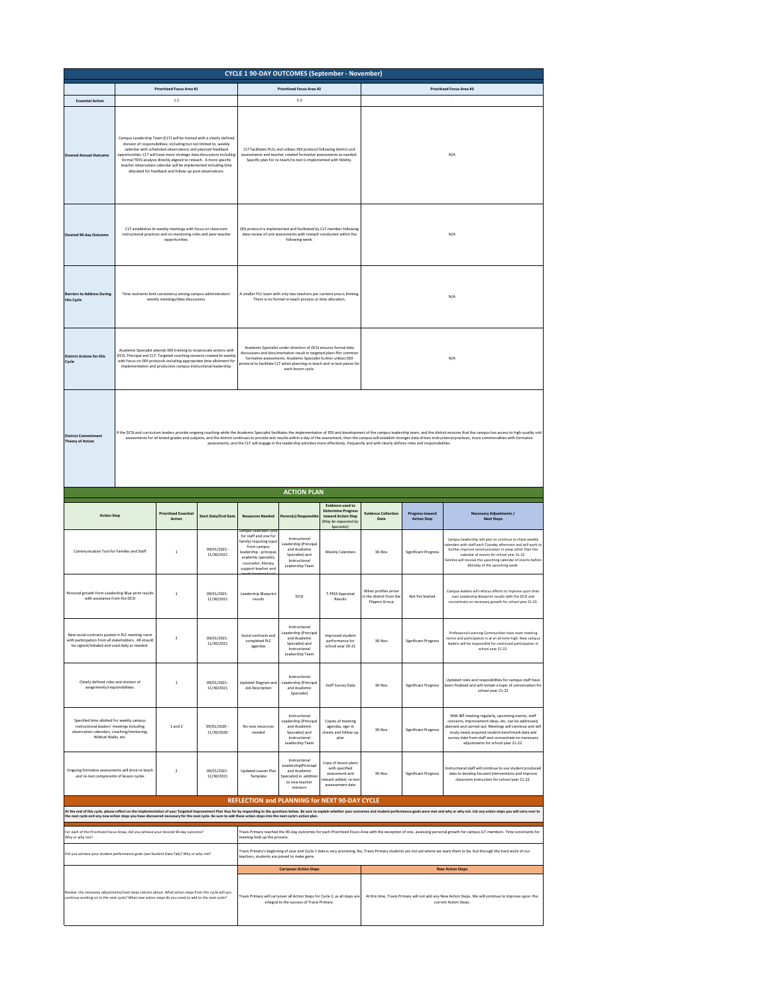|                                                                                                                                                                                                                                                                                                                                                                                                                                                                                                                                                                                                                                                                                  | <b>CYCLE 1 90-DAY OUTCOMES (September - November)</b>                                                               |                                                                                                                                                                                                                                                                                                                                                                                                                                                                                     |                            |                                                                                                                                                                                                                |                                                                                                                                                                                                                                                                                                           |                                                                                                            |                                                                   |                                              |                                                                                                                                                                                                                                                                                                                                                           |  |  |  |  |
|----------------------------------------------------------------------------------------------------------------------------------------------------------------------------------------------------------------------------------------------------------------------------------------------------------------------------------------------------------------------------------------------------------------------------------------------------------------------------------------------------------------------------------------------------------------------------------------------------------------------------------------------------------------------------------|---------------------------------------------------------------------------------------------------------------------|-------------------------------------------------------------------------------------------------------------------------------------------------------------------------------------------------------------------------------------------------------------------------------------------------------------------------------------------------------------------------------------------------------------------------------------------------------------------------------------|----------------------------|----------------------------------------------------------------------------------------------------------------------------------------------------------------------------------------------------------------|-----------------------------------------------------------------------------------------------------------------------------------------------------------------------------------------------------------------------------------------------------------------------------------------------------------|------------------------------------------------------------------------------------------------------------|-------------------------------------------------------------------|----------------------------------------------|-----------------------------------------------------------------------------------------------------------------------------------------------------------------------------------------------------------------------------------------------------------------------------------------------------------------------------------------------------------|--|--|--|--|
|                                                                                                                                                                                                                                                                                                                                                                                                                                                                                                                                                                                                                                                                                  |                                                                                                                     | <b>Prioritized Focus Area #1</b>                                                                                                                                                                                                                                                                                                                                                                                                                                                    |                            |                                                                                                                                                                                                                | <b>Prioritized Focus Area #2</b>                                                                                                                                                                                                                                                                          |                                                                                                            |                                                                   |                                              | <b>Prioritized Focus Area #3</b>                                                                                                                                                                                                                                                                                                                          |  |  |  |  |
| <b>Essential Action</b>                                                                                                                                                                                                                                                                                                                                                                                                                                                                                                                                                                                                                                                          |                                                                                                                     | $1.1\,$                                                                                                                                                                                                                                                                                                                                                                                                                                                                             |                            |                                                                                                                                                                                                                | 5.3                                                                                                                                                                                                                                                                                                       |                                                                                                            |                                                                   |                                              |                                                                                                                                                                                                                                                                                                                                                           |  |  |  |  |
| <b>Desired Annual Outcome</b>                                                                                                                                                                                                                                                                                                                                                                                                                                                                                                                                                                                                                                                    |                                                                                                                     | Campus Leadership Team (CLT) will be trained with a clearly defined<br>division of responsibilities; including but not limited to, weekly<br>calendar with scheduled observations and planned feedback<br>opportunities. CLT will have more strategic data discussions including<br>formal TEKS analysis directly aligned to reteach. A more specific<br>teacher observation calendar will be implemented including time<br>allocated for feedback and follow-up post observations. |                            | CLT facilitates PLCs and utilizes DDI protocol following district unit<br>assessments and teacher created formative assessments as needed.<br>Specific plan for re-teach/re-test is implemented with fidelity. |                                                                                                                                                                                                                                                                                                           |                                                                                                            | N/A                                                               |                                              |                                                                                                                                                                                                                                                                                                                                                           |  |  |  |  |
| <b>Desired 90-day Outcome</b>                                                                                                                                                                                                                                                                                                                                                                                                                                                                                                                                                                                                                                                    |                                                                                                                     | CLT establishes bi-weekly meetings with focus on classroom<br>instructional practices and on mentoring roles and peer teacher<br>opportunities.                                                                                                                                                                                                                                                                                                                                     |                            | DDI protocol is implemented and facilitated by CLT member following<br>data review of unit assessments with reteach conducted within the<br>following week.                                                    |                                                                                                                                                                                                                                                                                                           |                                                                                                            | N/A                                                               |                                              |                                                                                                                                                                                                                                                                                                                                                           |  |  |  |  |
| <b>Barriers to Address During</b><br>this Cycle                                                                                                                                                                                                                                                                                                                                                                                                                                                                                                                                                                                                                                  |                                                                                                                     | Time restraints limit consistency among campus administrators'<br>weekly meetings/data discussions.                                                                                                                                                                                                                                                                                                                                                                                 |                            |                                                                                                                                                                                                                | A smaller PLC team with only two teachers per content area is limiting.<br>There is no formal re-teach process or time allocation.                                                                                                                                                                        |                                                                                                            |                                                                   |                                              | N/A                                                                                                                                                                                                                                                                                                                                                       |  |  |  |  |
| <b>District Actions for this</b><br>Cycle                                                                                                                                                                                                                                                                                                                                                                                                                                                                                                                                                                                                                                        |                                                                                                                     | Academic Specialist attends DDI training to reciprocate actions with<br>DCSI, Principal and CLT. Targeted coaching sessions created bi-weekly<br>with focus on DDI protocols including appropriate time allotment for<br>implementation and productive campus instructional leadership.                                                                                                                                                                                             |                            |                                                                                                                                                                                                                | Academic Specialist under direction of DCSI ensures formal data<br>discussions and documentation result in targeted plans ffor common<br>formative assessments. Academic Specialist further utilizes DDI<br>rotocol to facilitate CLT when planning re-teach and re-test pieces for<br>each lesson cycle. |                                                                                                            |                                                                   |                                              | N/A                                                                                                                                                                                                                                                                                                                                                       |  |  |  |  |
| If the DCSI and curriculum leaders provide ongoing coaching while the Academic Specialist facilitates the implementation of DDI and development of the campus leadership team, and the district ensures that the campus has ac<br><b>District Commitment</b><br>assessments for all tested grades and subjects, and the district continues to provide test results within a day of the assessment, then the campus will establish stronger data-driven instructional practices, more commonali<br><b>Theory of Action</b><br>assessments, and the CLT will engage in the leadership activities more effectively, frequently and with clearly defines roles and responsibilities. |                                                                                                                     |                                                                                                                                                                                                                                                                                                                                                                                                                                                                                     |                            |                                                                                                                                                                                                                |                                                                                                                                                                                                                                                                                                           |                                                                                                            |                                                                   |                                              |                                                                                                                                                                                                                                                                                                                                                           |  |  |  |  |
|                                                                                                                                                                                                                                                                                                                                                                                                                                                                                                                                                                                                                                                                                  |                                                                                                                     |                                                                                                                                                                                                                                                                                                                                                                                                                                                                                     |                            |                                                                                                                                                                                                                | <b>ACTION PLAN</b>                                                                                                                                                                                                                                                                                        |                                                                                                            |                                                                   |                                              |                                                                                                                                                                                                                                                                                                                                                           |  |  |  |  |
| <b>Action Step</b>                                                                                                                                                                                                                                                                                                                                                                                                                                                                                                                                                                                                                                                               |                                                                                                                     | <b>Prioritized Essential</b><br>Action                                                                                                                                                                                                                                                                                                                                                                                                                                              | <b>Start Date/End Date</b> | <b>Resources Needed</b><br>npie calendars (on                                                                                                                                                                  | Person(s) Responsible                                                                                                                                                                                                                                                                                     | <b>Evidence used to</b><br>Determine Progress<br>toward Action Step<br>(May be requested by<br>Specialist) | <b>Evidence Collection</b><br>Date                                | <b>Progress toward</b><br><b>Action Step</b> | <b>Necessary Adjustments /</b><br><b>Next Steps</b>                                                                                                                                                                                                                                                                                                       |  |  |  |  |
|                                                                                                                                                                                                                                                                                                                                                                                                                                                                                                                                                                                                                                                                                  |                                                                                                                     | 09/01/2021<br>Communication Tool for Families and Staff<br>$\overline{1}$<br>11/30/2021                                                                                                                                                                                                                                                                                                                                                                                             |                            | for staff and one for<br>family) requiring input<br>from campus<br>leadership - principal<br>academic specialist,<br>counselor, literacy                                                                       | Instructional<br>Leadership (Principal<br>and Academic<br>Specialist) and<br>Instructional                                                                                                                                                                                                                | Weekly Calendars                                                                                           | 30-Nov                                                            |                                              | Campus leadership will plan to continue to share weekly                                                                                                                                                                                                                                                                                                   |  |  |  |  |
|                                                                                                                                                                                                                                                                                                                                                                                                                                                                                                                                                                                                                                                                                  | Personal growth from Leadership Blue print results<br>$\overline{1}$<br>with assistance from the DCSI<br>11/30/2021 |                                                                                                                                                                                                                                                                                                                                                                                                                                                                                     |                            | sunnort teacher and                                                                                                                                                                                            | Leadership Team                                                                                                                                                                                                                                                                                           |                                                                                                            |                                                                   | Significant Progress                         | alendars with staff each Tuesday afternoon and will work to<br>further improve communication in areas other than the<br>calendar of events for school year 21-22.<br>amilies will receive the upcoming calendar of events befor<br>Monday of the upcoming week.                                                                                           |  |  |  |  |
|                                                                                                                                                                                                                                                                                                                                                                                                                                                                                                                                                                                                                                                                                  |                                                                                                                     |                                                                                                                                                                                                                                                                                                                                                                                                                                                                                     | 09/01/2021-                | Leadership Blueprint<br>$results$                                                                                                                                                                              | DCSI                                                                                                                                                                                                                                                                                                      | T-PESS Appraisal<br>Results                                                                                | When profiles arrive<br>in the district from the<br>Flippen Group | Not Yet Started                              | Campus leaders will refocus efforts to improve upon their<br>own Leadership Blueprint results with the DCSI and<br>concentrate on necessary growth for school year 21-22.                                                                                                                                                                                 |  |  |  |  |
| New social contracts posted in PLC meeting room<br>with participation from all stakeholders. All should<br>be signed/initialed and used daily as needed.                                                                                                                                                                                                                                                                                                                                                                                                                                                                                                                         |                                                                                                                     | $\overline{2}$                                                                                                                                                                                                                                                                                                                                                                                                                                                                      | 09/01/2021-<br>11/30/2021  | Social contracts and<br>completed PLC<br>$a$ gendas                                                                                                                                                            | Instructional<br>Leadership (Principal<br>and Academic<br>Specialist) and<br>Instructional<br>Leadership Team                                                                                                                                                                                             | Improved student<br>performance for<br>school year 20-21                                                   | 30-Nov                                                            | Significant Progress                         | Professional Learning Communities have reset meeting<br>norms and participation is at an all-time high. New campus<br>leaders will be responsible for continued participation in<br>school year 21-22.                                                                                                                                                    |  |  |  |  |
| Clearly defined roles and division of<br>assignments/responsibilities.                                                                                                                                                                                                                                                                                                                                                                                                                                                                                                                                                                                                           |                                                                                                                     | $\overline{1}$                                                                                                                                                                                                                                                                                                                                                                                                                                                                      | 09/01/2021-<br>11/30/2021  | Updated Diagram and<br>Job Description                                                                                                                                                                         | Instructional<br>Leadership (Principal<br>and Academic<br>Specialist)                                                                                                                                                                                                                                     | Staff Survey Data                                                                                          | 30-Nov                                                            | <b>Significant Progress</b>                  | Undated roles and resposibilities for campus staff have<br>been finalized and will remain a topic of conversation for<br>school year 21-22                                                                                                                                                                                                                |  |  |  |  |
| Specified time allotted for weekly campus<br>instructional leaders' meetings including<br>observation calendars, coaching/mentoring,<br>Wildcat Walks, etc.                                                                                                                                                                                                                                                                                                                                                                                                                                                                                                                      |                                                                                                                     | 1 and 2                                                                                                                                                                                                                                                                                                                                                                                                                                                                             | 09/01/2020 -<br>11/30/2020 | No new resources<br>needed                                                                                                                                                                                     | Instructional<br>Leadership (Principal<br>and Academic<br>Specialist) and<br>Instructional<br>Leadership Team                                                                                                                                                                                             | Copies of meeting<br>agendas, sign-in<br>sheets and follow-up<br>plan                                      | 30-Nov                                                            | <b>Significant Progress</b>                  | With ILT meeting regularly, upcoming events, staff<br>concerns, improvement ideas, etc. can be addressed,<br>liw hanned and carried out. Meetings will continue and will<br>study newly acquired student benchmark data and<br>survey data from staff and concentrate on necessary<br>adjustments for school year 21-22.                                  |  |  |  |  |
| Ongoing formative assessments will drive re-teach<br>and re-test components of lesson cycles                                                                                                                                                                                                                                                                                                                                                                                                                                                                                                                                                                                     |                                                                                                                     | $\overline{2}$                                                                                                                                                                                                                                                                                                                                                                                                                                                                      | 09/01/2021-<br>11/30/2021  | Updated Lesson Plar<br>Template                                                                                                                                                                                | Instructional<br>Leadership(Princiapl<br>and Academic<br>Specialist) in addition<br>to new teacher<br>mentors                                                                                                                                                                                             | Copy of lesson plans<br>with specified<br>assessment and<br>reteach added; re-test<br>assessement data     | 30-Nov                                                            | <b>Significant Progress</b>                  | Instructional staff will continue to use student produced<br>data to develop focused interventions and improve<br>classroom instruction for school year 21-22.                                                                                                                                                                                            |  |  |  |  |
|                                                                                                                                                                                                                                                                                                                                                                                                                                                                                                                                                                                                                                                                                  |                                                                                                                     |                                                                                                                                                                                                                                                                                                                                                                                                                                                                                     |                            |                                                                                                                                                                                                                |                                                                                                                                                                                                                                                                                                           | REFLECTION and PLANNING for NEXT 90-DAY CYCLE                                                              |                                                                   |                                              |                                                                                                                                                                                                                                                                                                                                                           |  |  |  |  |
|                                                                                                                                                                                                                                                                                                                                                                                                                                                                                                                                                                                                                                                                                  |                                                                                                                     |                                                                                                                                                                                                                                                                                                                                                                                                                                                                                     |                            |                                                                                                                                                                                                                |                                                                                                                                                                                                                                                                                                           |                                                                                                            |                                                                   |                                              | At the end of this cyclum endeavative of the material of the state inprovene Plu thus far treasures the rest of the sect of the sect of the sect of the sect of the sect of the sect of the sect of the sect of the sect of th                                                                                                                            |  |  |  |  |
| For each of the Prioritized Focus Areas, did you achieve your desired 90-day outcome?<br>Why or why not?                                                                                                                                                                                                                                                                                                                                                                                                                                                                                                                                                                         |                                                                                                                     |                                                                                                                                                                                                                                                                                                                                                                                                                                                                                     |                            | meeting held up the process.                                                                                                                                                                                   |                                                                                                                                                                                                                                                                                                           |                                                                                                            |                                                                   |                                              | Travis Primary reached the 90-day outcomes for each Prioritized Foucs Area with the exception of one, assessing personal growth for campus ILT members. Time constraints for<br>Travis Primary's beginning of year and Cycle 1 data is very promising. No, Travis Primary students are not yet where we want them to be, but thorugh the hard work of our |  |  |  |  |
| Did you achieve your student performance goals (see Student Data Tab)? Why or why not?                                                                                                                                                                                                                                                                                                                                                                                                                                                                                                                                                                                           |                                                                                                                     |                                                                                                                                                                                                                                                                                                                                                                                                                                                                                     |                            | teachers, students are poised to make gains.                                                                                                                                                                   | <b>Carryover Action Steps</b>                                                                                                                                                                                                                                                                             |                                                                                                            |                                                                   |                                              | <b>New Action Steps</b>                                                                                                                                                                                                                                                                                                                                   |  |  |  |  |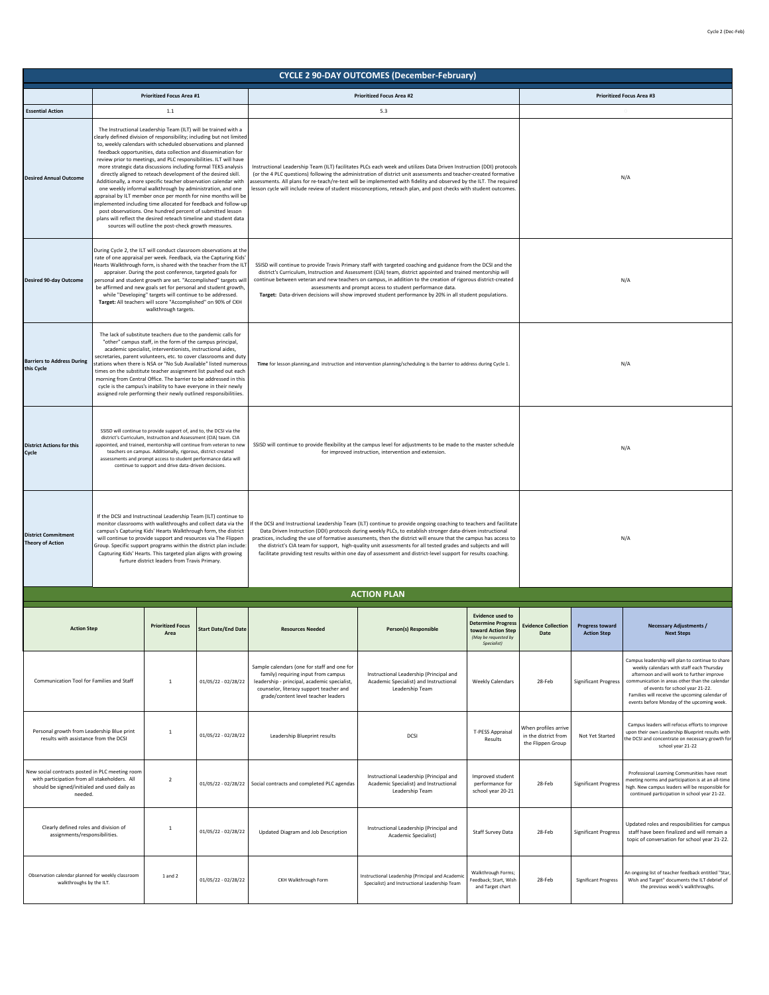| <b>CYCLE 2 90-DAY OUTCOMES (December-February)</b>                                                                                                          |  |                                                                                                                                                                                                                                                                                                                                                                                                                                                                                                                                                                                                                                                                                                                                                                                                             |                                                                                                                                                                                                                                                                                                                                                                                                                                                                                                                                                                                                                                                                                                                                                                                                                                                                                                                                                                                                                                                                        |                                                                                                                                                                                                                                                                                                                                                                                                                                                                                                                                                                                               |                                                                                                                                                                                                                                                                                                                                                                                                                                                                                           |                                                                                                                |                                                                   |                                              |                                                                                                                                                                                                                                                                                                                                   |  |  |
|-------------------------------------------------------------------------------------------------------------------------------------------------------------|--|-------------------------------------------------------------------------------------------------------------------------------------------------------------------------------------------------------------------------------------------------------------------------------------------------------------------------------------------------------------------------------------------------------------------------------------------------------------------------------------------------------------------------------------------------------------------------------------------------------------------------------------------------------------------------------------------------------------------------------------------------------------------------------------------------------------|------------------------------------------------------------------------------------------------------------------------------------------------------------------------------------------------------------------------------------------------------------------------------------------------------------------------------------------------------------------------------------------------------------------------------------------------------------------------------------------------------------------------------------------------------------------------------------------------------------------------------------------------------------------------------------------------------------------------------------------------------------------------------------------------------------------------------------------------------------------------------------------------------------------------------------------------------------------------------------------------------------------------------------------------------------------------|-----------------------------------------------------------------------------------------------------------------------------------------------------------------------------------------------------------------------------------------------------------------------------------------------------------------------------------------------------------------------------------------------------------------------------------------------------------------------------------------------------------------------------------------------------------------------------------------------|-------------------------------------------------------------------------------------------------------------------------------------------------------------------------------------------------------------------------------------------------------------------------------------------------------------------------------------------------------------------------------------------------------------------------------------------------------------------------------------------|----------------------------------------------------------------------------------------------------------------|-------------------------------------------------------------------|----------------------------------------------|-----------------------------------------------------------------------------------------------------------------------------------------------------------------------------------------------------------------------------------------------------------------------------------------------------------------------------------|--|--|
|                                                                                                                                                             |  | <b>Prioritized Focus Area #1</b>                                                                                                                                                                                                                                                                                                                                                                                                                                                                                                                                                                                                                                                                                                                                                                            |                                                                                                                                                                                                                                                                                                                                                                                                                                                                                                                                                                                                                                                                                                                                                                                                                                                                                                                                                                                                                                                                        |                                                                                                                                                                                                                                                                                                                                                                                                                                                                                                                                                                                               | <b>Prioritized Focus Area #2</b>                                                                                                                                                                                                                                                                                                                                                                                                                                                          |                                                                                                                |                                                                   |                                              | <b>Prioritized Focus Area #3</b>                                                                                                                                                                                                                                                                                                  |  |  |
| <b>Essential Action</b><br><b>Desired Annual Outcome</b>                                                                                                    |  | 1.1<br>The Instructional Leadership Team (ILT) will be trained with a<br>to, weekly calendars with scheduled observations and planned<br>feedback opportunities, data collection and dissemination for<br>review prior to meetings, and PLC responsibilities. ILT will have<br>more strategic data discussions including formal TEKS analysis<br>directly aligned to reteach development of the desired skill.<br>Additionally, a more specific teacher observation calendar with<br>one weekly informal walkthrough by administration, and one<br>appraisal by ILT member once per month for nine months will be<br>post observations. One hundred percent of submitted lesson<br>plans will reflect the desired reteach timeline and student data<br>sources will outline the post-check growth measures. | clearly defined division of responsibility; including but not limited<br>implemented including time allocated for feedback and follow-up                                                                                                                                                                                                                                                                                                                                                                                                                                                                                                                                                                                                                                                                                                                                                                                                                                                                                                                               |                                                                                                                                                                                                                                                                                                                                                                                                                                                                                                                                                                                               | 5.3<br>Instructional Leadership Team (ILT) facilitates PLCs each week and utilizes Data Driven Instruction (DDI) protocols<br>(or the 4 PLC questions) following the administration of district unit assessments and teacher-created formative<br>assessments. All plans for re-teach/re-test will be implemented with fidelity and observed by the ILT. The required<br>lesson cycle will include review of student misconceptions, reteach plan, and post checks with student outcomes. |                                                                                                                |                                                                   |                                              | N/A                                                                                                                                                                                                                                                                                                                               |  |  |
| <b>Desired 90-day Outcome</b>                                                                                                                               |  | walkthrough targets.                                                                                                                                                                                                                                                                                                                                                                                                                                                                                                                                                                                                                                                                                                                                                                                        | During Cycle 2, the ILT will conduct classroom observations at the<br>rate of one appraisal per week. Feedback, via the Capturing Kids'<br>Hearts Walkthrough form, is shared with the teacher from the ILT<br>SSISD will continue to provide Travis Primary staff with targeted coaching and guidance from the DCSI and the<br>appraiser. During the post conference, targeted goals for<br>district's Curriculum, Instruction and Assessment (CIA) team, district appointed and trained mentorship will<br>personal and student growth are set. "Accomplished" targets will<br>continue between veteran and new teachers on campus, in addition to the creation of rigorous district-created<br>be affirmed and new goals set for personal and student growth,<br>assessments and prompt access to student performance data.<br>while "Developing" targets will continue to be addressed.<br>Target: Data-driven decisions will show improved student performance by 20% in all student populations.<br>Target: All teachers will score "Accomplished" on 90% of CKH |                                                                                                                                                                                                                                                                                                                                                                                                                                                                                                                                                                                               |                                                                                                                                                                                                                                                                                                                                                                                                                                                                                           | N/A                                                                                                            |                                                                   |                                              |                                                                                                                                                                                                                                                                                                                                   |  |  |
| <b>Barriers to Address During</b><br>this Cycle                                                                                                             |  | The lack of substitute teachers due to the pandemic calls for<br>"other" campus staff, in the form of the campus principal,<br>academic specialist, interventionists, instructional aides,<br>secretaries, parent volunteers, etc. to cover classrooms and duty<br>times on the substitute teacher assignment list pushed out each<br>morning from Central Office. The barrier to be addressed in this<br>cycle is the campus's inability to have everyone in their newly<br>assigned role performing their newly outlined responsibilitiies.                                                                                                                                                                                                                                                               | stations when there is NSA or "No Sub Available" listed numerous                                                                                                                                                                                                                                                                                                                                                                                                                                                                                                                                                                                                                                                                                                                                                                                                                                                                                                                                                                                                       | Time for lesson planning, and instruction and intervention planning/scheduling is the barrier to address during Cycle 1.                                                                                                                                                                                                                                                                                                                                                                                                                                                                      |                                                                                                                                                                                                                                                                                                                                                                                                                                                                                           |                                                                                                                |                                                                   | N/A                                          |                                                                                                                                                                                                                                                                                                                                   |  |  |
| <b>District Actions for this</b><br>Cycle                                                                                                                   |  | SSISD will continue to provide support of, and to, the DCSI via the<br>district's Curriculum, Instruction and Assessment (CIA) team. CIA<br>appointed, and trained, mentorship will continue from veteran to new<br>teachers on campus. Additionally, rigorous, district-created<br>assessments and prompt access to student performance data will<br>continue to support and drive data-driven decisions.                                                                                                                                                                                                                                                                                                                                                                                                  |                                                                                                                                                                                                                                                                                                                                                                                                                                                                                                                                                                                                                                                                                                                                                                                                                                                                                                                                                                                                                                                                        | SSISD will continue to provide flexibility at the campus level for adjustments to be made to the master schedule<br>for improved instruction, intervention and extension.                                                                                                                                                                                                                                                                                                                                                                                                                     |                                                                                                                                                                                                                                                                                                                                                                                                                                                                                           |                                                                                                                |                                                                   | N/A                                          |                                                                                                                                                                                                                                                                                                                                   |  |  |
| <b>District Commitment</b><br><b>Theory of Action</b>                                                                                                       |  | If the DCSI and Instructinoal Leadership Team (ILT) continue to<br>monitor classrooms with walkthroughs and collect data via the<br>campus's Capturing Kids' Hearts Walkthrough form, the district<br>will continue to provide support and resources via The Flippen<br>Group. Specific support programs within the district plan include:<br>Capturing Kids' Hearts. This targeted plan aligns with growing<br>furture district leaders from Travis Primary.                                                                                                                                                                                                                                                                                                                                               |                                                                                                                                                                                                                                                                                                                                                                                                                                                                                                                                                                                                                                                                                                                                                                                                                                                                                                                                                                                                                                                                        | If the DCSI and Instructional Leadership Team (ILT) continue to provide ongoing coaching to teachers and facilitate<br>Data Driven Instruction (DDI) protocols during weekly PLCs, to establish stronger data-driven instructional<br>practices, including the use of formative assessments, then the district will ensure that the campus has access to<br>the district's CIA team for support, high-quality unit assessments for all tested grades and subjects and will<br>facilitate providing test results within one day of assessment and district-level support for results coaching. | N/A                                                                                                                                                                                                                                                                                                                                                                                                                                                                                       |                                                                                                                |                                                                   |                                              |                                                                                                                                                                                                                                                                                                                                   |  |  |
|                                                                                                                                                             |  |                                                                                                                                                                                                                                                                                                                                                                                                                                                                                                                                                                                                                                                                                                                                                                                                             |                                                                                                                                                                                                                                                                                                                                                                                                                                                                                                                                                                                                                                                                                                                                                                                                                                                                                                                                                                                                                                                                        |                                                                                                                                                                                                                                                                                                                                                                                                                                                                                                                                                                                               | <b>ACTION PLAN</b>                                                                                                                                                                                                                                                                                                                                                                                                                                                                        |                                                                                                                |                                                                   |                                              |                                                                                                                                                                                                                                                                                                                                   |  |  |
| <b>Action Step</b>                                                                                                                                          |  | <b>Prioritized Focus</b><br>Area                                                                                                                                                                                                                                                                                                                                                                                                                                                                                                                                                                                                                                                                                                                                                                            | <b>Start Date/End Date</b>                                                                                                                                                                                                                                                                                                                                                                                                                                                                                                                                                                                                                                                                                                                                                                                                                                                                                                                                                                                                                                             | <b>Resources Needed</b>                                                                                                                                                                                                                                                                                                                                                                                                                                                                                                                                                                       | <b>Person(s) Responsible</b>                                                                                                                                                                                                                                                                                                                                                                                                                                                              | <b>Evidence used to</b><br><b>Determine Progress</b><br>ward Action Ste<br>(May be requested by<br>Specialist) | <b>Evidence Collection</b><br>Date                                | <b>Progress toward</b><br><b>Action Step</b> | <b>Necessary Adjustments /</b><br><b>Next Steps</b>                                                                                                                                                                                                                                                                               |  |  |
| Communication Tool for Families and Staff                                                                                                                   |  | $\mathbf{1}$                                                                                                                                                                                                                                                                                                                                                                                                                                                                                                                                                                                                                                                                                                                                                                                                | 01/05/22 - 02/28/22                                                                                                                                                                                                                                                                                                                                                                                                                                                                                                                                                                                                                                                                                                                                                                                                                                                                                                                                                                                                                                                    | Sample calendars (one for staff and one for<br>family) requiring input from campus<br>leadership - principal, academic specialist,<br>counselor, literacy support teacher and<br>grade/content level teacher leaders                                                                                                                                                                                                                                                                                                                                                                          | Instructional Leadership (Principal and<br>Academic Specialist) and Instructional<br>Leadership Team                                                                                                                                                                                                                                                                                                                                                                                      | Weekly Calendars                                                                                               | 28-Feb                                                            | <b>Significant Progress</b>                  | Campus leadership will plan to continue to share<br>weekly calendars with staff each Thursday<br>afternoon and will work to further improve<br>communication in areas other than the calendar<br>of events for school year 21-22.<br>Families will receive the upcoming calendar of<br>events before Monday of the upcoming week. |  |  |
| Personal growth from Leadership Blue print<br>results with assistance from the DCSI                                                                         |  | $\mathbf{1}$                                                                                                                                                                                                                                                                                                                                                                                                                                                                                                                                                                                                                                                                                                                                                                                                | 01/05/22 - 02/28/22                                                                                                                                                                                                                                                                                                                                                                                                                                                                                                                                                                                                                                                                                                                                                                                                                                                                                                                                                                                                                                                    | Leadership Blueprint results                                                                                                                                                                                                                                                                                                                                                                                                                                                                                                                                                                  | DCSI                                                                                                                                                                                                                                                                                                                                                                                                                                                                                      | <b>T-PESS Appraisal</b><br>Results                                                                             | When profiles arrive<br>in the district from<br>the Flippen Group | Not Yet Started                              | Campus leaders will refocus efforts to improve<br>upon their own Leadership Blueprint results with<br>the DCSI and concentrate on necessary growth for<br>school year 21-22                                                                                                                                                       |  |  |
| New social contracts posted in PLC meeting room<br>with participation from all stakeholders. All<br>should be signed/initialed and used daily as<br>needed. |  | $\overline{2}$                                                                                                                                                                                                                                                                                                                                                                                                                                                                                                                                                                                                                                                                                                                                                                                              | 01/05/22 - 02/28/22                                                                                                                                                                                                                                                                                                                                                                                                                                                                                                                                                                                                                                                                                                                                                                                                                                                                                                                                                                                                                                                    | Social contracts and completed PLC agendas                                                                                                                                                                                                                                                                                                                                                                                                                                                                                                                                                    | Instructional Leadership (Principal and<br>Academic Specialist) and Instructional<br>Leadership Team                                                                                                                                                                                                                                                                                                                                                                                      | Improved student<br>performance for<br>school year 20-21                                                       | 28-Feb                                                            | <b>Significant Progress</b>                  | Professional Learning Communities have reset<br>meeting norms and participation is at an all-time<br>high. New campus leaders will be responsible for<br>continued participation in school year 21-22.                                                                                                                            |  |  |
| Clearly defined roles and division of<br>assignments/responsibilities.                                                                                      |  | $\mathbf{1}$                                                                                                                                                                                                                                                                                                                                                                                                                                                                                                                                                                                                                                                                                                                                                                                                | 01/05/22 - 02/28/22                                                                                                                                                                                                                                                                                                                                                                                                                                                                                                                                                                                                                                                                                                                                                                                                                                                                                                                                                                                                                                                    | Updated Diagram and Job Description                                                                                                                                                                                                                                                                                                                                                                                                                                                                                                                                                           | Instructional Leadership (Principal and<br>Academic Specialist)                                                                                                                                                                                                                                                                                                                                                                                                                           | Staff Survey Data                                                                                              | 28-Feb                                                            | <b>Significant Progress</b>                  | Updated roles and resposibilities for campus<br>staff have been finalized and will remain a<br>topic of conversation for school year 21-22.                                                                                                                                                                                       |  |  |
| Observation calendar planned for weekly classroom<br>walkthroughs by the ILT.                                                                               |  | 1 and 2                                                                                                                                                                                                                                                                                                                                                                                                                                                                                                                                                                                                                                                                                                                                                                                                     | 01/05/22 - 02/28/22                                                                                                                                                                                                                                                                                                                                                                                                                                                                                                                                                                                                                                                                                                                                                                                                                                                                                                                                                                                                                                                    | CKH Walkthrough Form                                                                                                                                                                                                                                                                                                                                                                                                                                                                                                                                                                          | nstructional Leadership (Principal and Academic<br>Specialist) and Instructional Leadership Team                                                                                                                                                                                                                                                                                                                                                                                          | Walkthrough Forms;<br>eedback; Start, Wish<br>and Target chart                                                 | 28-Feb                                                            | <b>Significant Progress</b>                  | An ongoing list of teacher feedback entitled "Star,<br>Wish and Target" documents the ILT debrief of<br>the previous week's walkthroughs.                                                                                                                                                                                         |  |  |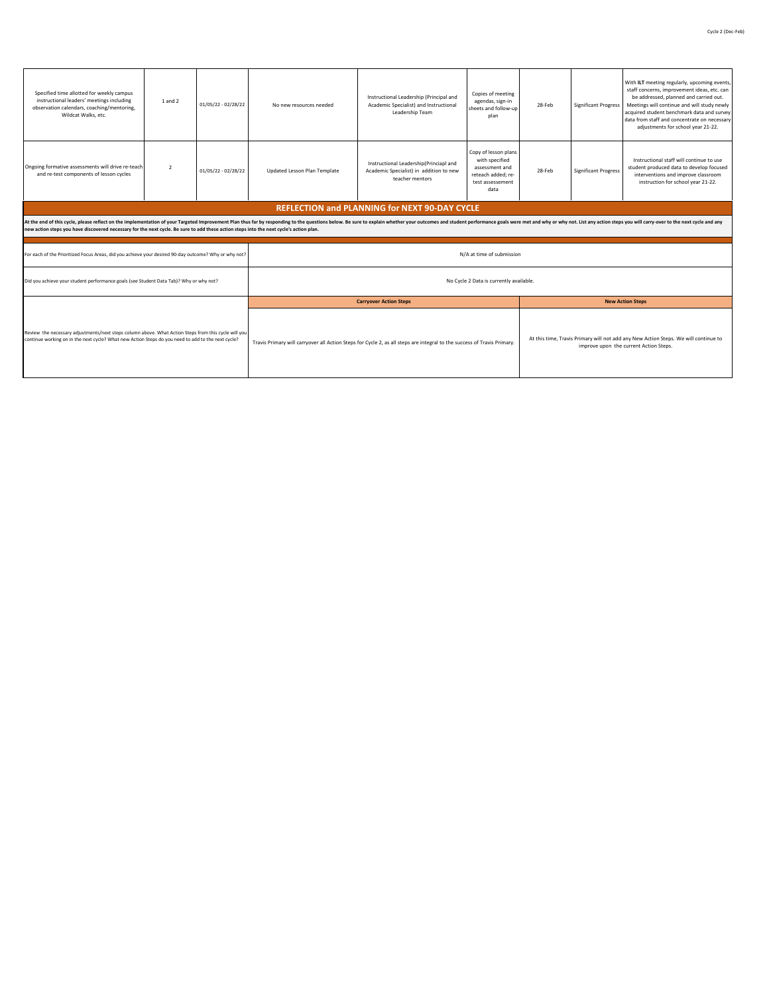| Specified time allotted for weekly campus<br>instructional leaders' meetings including<br>observation calendars, coaching/mentoring,<br>Wildcat Walks, etc.                                                                                                                                                                                                               | 1 and 2        | 01/05/22 - 02/28/22 | No new resources needed      | Instructional Leadership (Principal and<br>Academic Specialist) and Instructional<br>Leadership Team                    | Copies of meeting<br>agendas, sign-in<br>sheets and follow-up<br>plan                                                         | 28-Feb | <b>Significant Progress</b> | With ILT meeting regularly, upcoming events,<br>staff concerns, improvement ideas, etc. can<br>be addressed, planned and carried out.<br>Meetings will continue and will study newly<br>acquired student benchmark data and survey<br>data from staff and concentrate on necessary<br>adjustments for school year 21-22. |  |  |
|---------------------------------------------------------------------------------------------------------------------------------------------------------------------------------------------------------------------------------------------------------------------------------------------------------------------------------------------------------------------------|----------------|---------------------|------------------------------|-------------------------------------------------------------------------------------------------------------------------|-------------------------------------------------------------------------------------------------------------------------------|--------|-----------------------------|--------------------------------------------------------------------------------------------------------------------------------------------------------------------------------------------------------------------------------------------------------------------------------------------------------------------------|--|--|
| Ongoing formative assessments will drive re-teach<br>and re-test components of lesson cycles                                                                                                                                                                                                                                                                              | $\overline{2}$ | 01/05/22 - 02/28/22 | Updated Lesson Plan Template | Instructional Leadership(Princiapl and<br>Academic Specialist) in addition to new<br>teacher mentors                    | Copy of lesson plans<br>with specified<br>assessment and<br>reteach added: re-<br>test assessement<br>data                    | 28-Feb | <b>Significant Progress</b> | Instructional staff will continue to use<br>student produced data to develop focused<br>interventions and improve classroom<br>instruction for school year 21-22.                                                                                                                                                        |  |  |
| <b>REFLECTION and PLANNING for NEXT 90-DAY CYCLE</b>                                                                                                                                                                                                                                                                                                                      |                |                     |                              |                                                                                                                         |                                                                                                                               |        |                             |                                                                                                                                                                                                                                                                                                                          |  |  |
| At the end of this cycle, please reflect on the implementation of your Targeted Improvement Plan thus far by responding to the questions below. Be sure to explain whether your outcomes and student performance goals were me<br>new action steps you have discovered necessary for the next cycle. Be sure to add these action steps into the next cycle's action plan. |                |                     |                              |                                                                                                                         |                                                                                                                               |        |                             |                                                                                                                                                                                                                                                                                                                          |  |  |
| For each of the Prioritized Focus Areas, did you achieve your desired 90-day outcome? Why or why not?                                                                                                                                                                                                                                                                     |                |                     |                              |                                                                                                                         | N/A at time of submission                                                                                                     |        |                             |                                                                                                                                                                                                                                                                                                                          |  |  |
| Did you achieve your student performance goals (see Student Data Tab)? Why or why not?                                                                                                                                                                                                                                                                                    |                |                     |                              |                                                                                                                         | No Cycle 2 Data is currently available.                                                                                       |        |                             |                                                                                                                                                                                                                                                                                                                          |  |  |
|                                                                                                                                                                                                                                                                                                                                                                           |                |                     |                              | <b>Carryover Action Steps</b>                                                                                           |                                                                                                                               |        |                             | <b>New Action Steps</b>                                                                                                                                                                                                                                                                                                  |  |  |
| Review the necessary adjustments/next steps column above. What Action Steps from this cycle will you<br>continue working on in the next cycle? What new Action Steps do you need to add to the next cycle?                                                                                                                                                                |                |                     |                              | Travis Primary will carryover all Action Steps for Cycle 2, as all steps are integral to the success of Travis Primary. | At this time, Travis Primary will not add any New Action Steps. We will continue to<br>improve upon the current Action Steps. |        |                             |                                                                                                                                                                                                                                                                                                                          |  |  |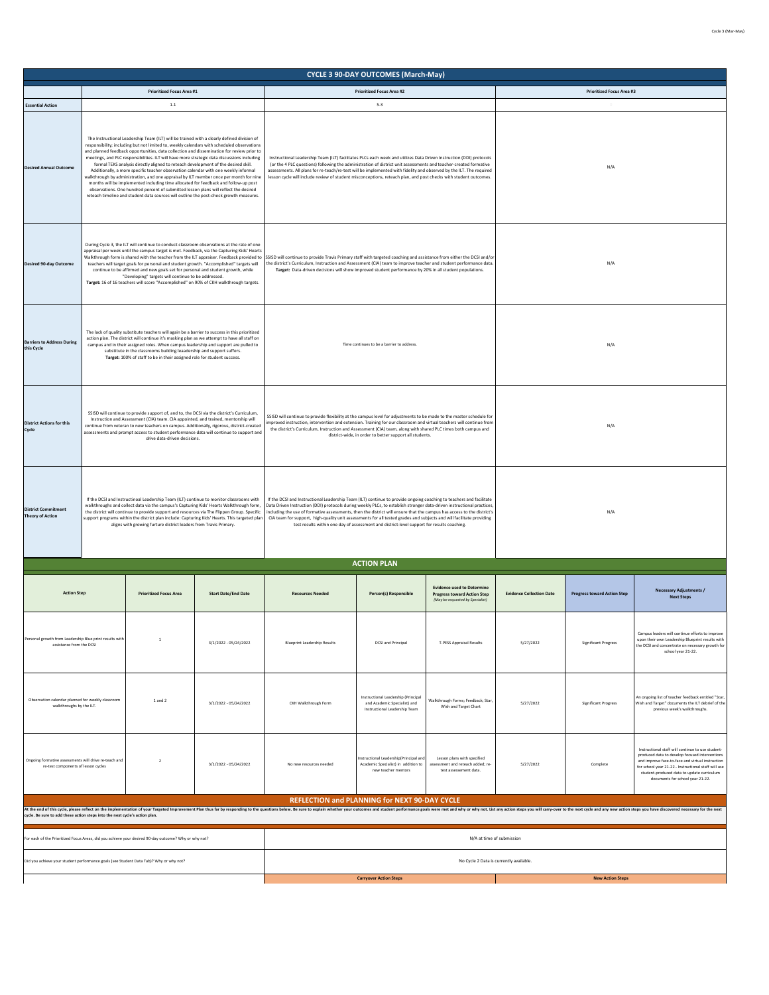|                                                                                              |                                                                                                                                                                                                                                                                                                                                                                                                                                                                                                                                                                                                                                                                                                                                                                                                                                                                                                                                                                                                                                                                                                                                                                                                                                                                                                                              |                                                                                                                                                                                                                                                                                                                                                                                    |                                                                                                                                                                                                                                                                                                                                                                                                                                                                                                | <b>CYCLE 3 90-DAY OUTCOMES (March-May)</b>                                                           |                                                                                                             |                                 |                                                                                                                                                                                                                                                                                                             |                                                                                                                                                                               |  |  |
|----------------------------------------------------------------------------------------------|------------------------------------------------------------------------------------------------------------------------------------------------------------------------------------------------------------------------------------------------------------------------------------------------------------------------------------------------------------------------------------------------------------------------------------------------------------------------------------------------------------------------------------------------------------------------------------------------------------------------------------------------------------------------------------------------------------------------------------------------------------------------------------------------------------------------------------------------------------------------------------------------------------------------------------------------------------------------------------------------------------------------------------------------------------------------------------------------------------------------------------------------------------------------------------------------------------------------------------------------------------------------------------------------------------------------------|------------------------------------------------------------------------------------------------------------------------------------------------------------------------------------------------------------------------------------------------------------------------------------------------------------------------------------------------------------------------------------|------------------------------------------------------------------------------------------------------------------------------------------------------------------------------------------------------------------------------------------------------------------------------------------------------------------------------------------------------------------------------------------------------------------------------------------------------------------------------------------------|------------------------------------------------------------------------------------------------------|-------------------------------------------------------------------------------------------------------------|---------------------------------|-------------------------------------------------------------------------------------------------------------------------------------------------------------------------------------------------------------------------------------------------------------------------------------------------------------|-------------------------------------------------------------------------------------------------------------------------------------------------------------------------------|--|--|
|                                                                                              | <b>Prioritized Focus Area #1</b>                                                                                                                                                                                                                                                                                                                                                                                                                                                                                                                                                                                                                                                                                                                                                                                                                                                                                                                                                                                                                                                                                                                                                                                                                                                                                             |                                                                                                                                                                                                                                                                                                                                                                                    |                                                                                                                                                                                                                                                                                                                                                                                                                                                                                                | <b>Prioritized Focus Area #2</b>                                                                     |                                                                                                             |                                 | <b>Prioritized Focus Area #3</b>                                                                                                                                                                                                                                                                            |                                                                                                                                                                               |  |  |
| <b>Essential Action</b>                                                                      | $1.1$<br>The Instructional Leadership Team (ILT) will be trained with a clearly defined division of                                                                                                                                                                                                                                                                                                                                                                                                                                                                                                                                                                                                                                                                                                                                                                                                                                                                                                                                                                                                                                                                                                                                                                                                                          |                                                                                                                                                                                                                                                                                                                                                                                    |                                                                                                                                                                                                                                                                                                                                                                                                                                                                                                | 5.3                                                                                                  |                                                                                                             |                                 |                                                                                                                                                                                                                                                                                                             |                                                                                                                                                                               |  |  |
| <b>Desired Annual Outcome</b>                                                                | responsibility; including but not limited to, weekly calendars with scheduled observations<br>and planned feedback opportunities, data collection and dissemination for review prior to<br>meetings, and PLC responsibilities. ILT will have more strategic data discussions including<br>Instructional Leadership Team (ILT) facilitates PLCs each week and utilizes Data Driven Instruction (DDI) protocols<br>formal TEKS analysis directly aligned to reteach development of the desired skill.<br>(or the 4 PLC questions) following the administration of district unit assessments and teacher-created formative<br>Additionally, a more specific teacher observation calendar with one weekly informal<br>assessments. All plans for re-teach/re-test will be implemented with fidelity and observed by the ILT. The required<br>walkthrough by administration, and one appraisal by ILT member once per month for nine<br>lesson cycle will include review of student misconceptions, reteach plan, and post checks with student outcomes.<br>months will be implemented including time allocated for feedback and follow-up post<br>observations. One hundred percent of submitted lesson plans will reflect the desired<br>reteach timeline and student data sources will outline the post-check growth measures. |                                                                                                                                                                                                                                                                                                                                                                                    |                                                                                                                                                                                                                                                                                                                                                                                                                                                                                                |                                                                                                      |                                                                                                             | N/A                             |                                                                                                                                                                                                                                                                                                             |                                                                                                                                                                               |  |  |
| <b>Desired 90-day Outcome</b>                                                                | During Cycle 3, the ILT will continue to conduct classroom observations at the rate of one<br>teachers will target goals for personal and student growth. "Accomplished" targets will<br>continue to be affirmed and new goals set for personal and student growth, while<br>"Developing" targets will continue to be addressed.<br>Target: 16 of 16 teachers will score "Accomplished" on 90% of CKH walkthrough targets.                                                                                                                                                                                                                                                                                                                                                                                                                                                                                                                                                                                                                                                                                                                                                                                                                                                                                                   | appraisal per week until the campus target is met. Feedback, via the Capturing Kids' Hearts<br>Walkthrough form is shared with the teacher from the ILT appraiser. Feedback provided to                                                                                                                                                                                            | SSISD will continue to provide Travis Primary staff with targeted coaching and assistance from either the DCSI and/or<br>the district's Curriculum, Instruction and Assessment (CIA) team to improve teacher and student performance data.<br>Target: Data-driven decisions will show improved student performance by 20% in all student populations.                                                                                                                                          |                                                                                                      | N/A                                                                                                         |                                 |                                                                                                                                                                                                                                                                                                             |                                                                                                                                                                               |  |  |
| <b>Barriers to Address During</b><br>this Cycle                                              | action plan. The district will continue it's masking plan as we attempt to have all staff on<br>campus and in their assigned roles. When campus leadership and support are pulled to<br>substitute in the classrooms building leaadership and support suffers.<br>Target: 100% of staff to be in their assigned role for student success.                                                                                                                                                                                                                                                                                                                                                                                                                                                                                                                                                                                                                                                                                                                                                                                                                                                                                                                                                                                    | The lack of quality substitute teachers will again be a barrier to success in this prioritized                                                                                                                                                                                                                                                                                     |                                                                                                                                                                                                                                                                                                                                                                                                                                                                                                | Time continues to be a barrier to address.                                                           |                                                                                                             | N/A                             |                                                                                                                                                                                                                                                                                                             |                                                                                                                                                                               |  |  |
| <b>District Actions for this</b><br>Cycle                                                    | SSISD will continue to provide support of, and to, the DCSI via the district's Curriculum,<br>Instruction and Assessment (CIA) team. CIA appointed, and trained, mentorship will<br>drive data-driven decisions.                                                                                                                                                                                                                                                                                                                                                                                                                                                                                                                                                                                                                                                                                                                                                                                                                                                                                                                                                                                                                                                                                                             | continue from veteran to new teachers on campus. Additionally, rigorous, district-created<br>assessments and prompt access to student performance data will continue to support and                                                                                                                                                                                                | SSISD will continue to provide flexibility at the campus level for adjustments to be made to the master schedule for<br>mproved instruction, intervention and extension. Training for our classroom and virtual teachers will continue from<br>the district's Curriculum, Instruction and Assessment (CIA) team, along with shared PLC times both campus and<br>district-wide, in order to better support all students.                                                                        |                                                                                                      |                                                                                                             |                                 | N/A                                                                                                                                                                                                                                                                                                         |                                                                                                                                                                               |  |  |
| <b>District Commitment</b><br><b>Theory of Action</b>                                        | aligns with growing furture district leaders from Travis Primary.                                                                                                                                                                                                                                                                                                                                                                                                                                                                                                                                                                                                                                                                                                                                                                                                                                                                                                                                                                                                                                                                                                                                                                                                                                                            | If the DCSI and Instructinoal Leadership Team (ILT) continue to monitor classrooms with<br>walkthroughs and collect data via the campus's Capturing Kids' Hearts Walkthrough form.<br>the district will continue to provide support and resources via The Flippen Group. Specific<br>support programs within the district plan include: Capturing Kids' Hearts. This targeted plan | If the DCSI and Instructional Leadership Team (ILT) continue to provide ongoing coaching to teachers and facilitate<br>Data Driven Instruction (DDI) protocols during weekly PLCs, to establish stronger data-driven instructional practices<br>including the use of formative assessments, then the district will ensure that the campus has access to the district's<br>CIA team for support, high-quality unit assessments for all tested grades and subjects and will facilitate providing | test results within one day of assessment and district-level support for results coaching.           |                                                                                                             | N/A                             |                                                                                                                                                                                                                                                                                                             |                                                                                                                                                                               |  |  |
|                                                                                              |                                                                                                                                                                                                                                                                                                                                                                                                                                                                                                                                                                                                                                                                                                                                                                                                                                                                                                                                                                                                                                                                                                                                                                                                                                                                                                                              |                                                                                                                                                                                                                                                                                                                                                                                    |                                                                                                                                                                                                                                                                                                                                                                                                                                                                                                | <b>ACTION PLAN</b>                                                                                   |                                                                                                             |                                 |                                                                                                                                                                                                                                                                                                             |                                                                                                                                                                               |  |  |
| <b>Action Step</b>                                                                           | <b>Prioritized Focus Area</b>                                                                                                                                                                                                                                                                                                                                                                                                                                                                                                                                                                                                                                                                                                                                                                                                                                                                                                                                                                                                                                                                                                                                                                                                                                                                                                | <b>Start Date/End Date</b>                                                                                                                                                                                                                                                                                                                                                         | <b>Resources Needed</b>                                                                                                                                                                                                                                                                                                                                                                                                                                                                        | Person(s) Responsible                                                                                | <b>Evidence used to Determine</b><br><b>Progress toward Action Step</b><br>(May be requested by Specialist) | <b>Evidence Collection Date</b> | <b>Progress toward Action Step</b>                                                                                                                                                                                                                                                                          | <b>Necessary Adjustments /</b><br><b>Next Steps</b>                                                                                                                           |  |  |
| Personal growth from Leadership Blue print results with<br>assistance from the DCSI          | $\mathbf{1}$                                                                                                                                                                                                                                                                                                                                                                                                                                                                                                                                                                                                                                                                                                                                                                                                                                                                                                                                                                                                                                                                                                                                                                                                                                                                                                                 | $3/1/2022 - 05/24/2022$                                                                                                                                                                                                                                                                                                                                                            | <b>Blueprint Leadership Results</b>                                                                                                                                                                                                                                                                                                                                                                                                                                                            | <b>DCSI and Principal</b>                                                                            | T-PESS Appraisal Results                                                                                    | 5/27/2022                       | Significant Progress                                                                                                                                                                                                                                                                                        | Campus leaders will continue efforts to improve<br>upon their own Leadership Blueprint results with<br>the DCSI and concentrate on necessary growth for<br>school year 21-22. |  |  |
| Observation calendar planned for weekly classroom<br>walkthroughs by the ILT.                | 1 and 2                                                                                                                                                                                                                                                                                                                                                                                                                                                                                                                                                                                                                                                                                                                                                                                                                                                                                                                                                                                                                                                                                                                                                                                                                                                                                                                      | 3/1/2022 - 05/24/2022                                                                                                                                                                                                                                                                                                                                                              | CKH Walkthrough Form                                                                                                                                                                                                                                                                                                                                                                                                                                                                           | Instructional Leadership (Principal<br>and Academic Specialist) and<br>Instructional Leadership Team | Walkthrough Forms; Feedback; Star,<br>Wish and Target Chart                                                 | 5/27/2022                       | <b>Significant Progress</b>                                                                                                                                                                                                                                                                                 | An ongoing list of teacher feedback entitled "Star,<br>Wish and Target" documents the ILT debrief of the<br>previous week's walkthroughs.                                     |  |  |
| Ongoing formative assessments will drive re-teach and<br>re-test components of lesson cycles | $\overline{2}$                                                                                                                                                                                                                                                                                                                                                                                                                                                                                                                                                                                                                                                                                                                                                                                                                                                                                                                                                                                                                                                                                                                                                                                                                                                                                                               | 3/1/2022 - 05/24/2022                                                                                                                                                                                                                                                                                                                                                              | No new resources needed                                                                                                                                                                                                                                                                                                                                                                                                                                                                        | nstructional Leadership(Principal and<br>Academic Specialist) in addition to<br>new teacher mentors  | Lesson plans with specified<br>assessment and reteach added; re-<br>test assessement data.                  | 5/27/2022                       | Instructional staff will continue to use student-<br>produced data to develop focused interventions<br>and improve face-to-face and virtual instruction<br>Complete<br>for school year 21-22 Instructional staff will use<br>student-produced data to update curriculum<br>documents for school year 21-22. |                                                                                                                                                                               |  |  |
|                                                                                              |                                                                                                                                                                                                                                                                                                                                                                                                                                                                                                                                                                                                                                                                                                                                                                                                                                                                                                                                                                                                                                                                                                                                                                                                                                                                                                                              |                                                                                                                                                                                                                                                                                                                                                                                    | At the end of this cycle, please reflect on the implementation of your Targeted Improvement Plan thus far by responding to the questions below. Be sure to explain whether your outcomes and student performance goals were me                                                                                                                                                                                                                                                                 | REFLECTION and PLANNING for NEXT 90-DAY CYCLE                                                        |                                                                                                             |                                 |                                                                                                                                                                                                                                                                                                             |                                                                                                                                                                               |  |  |
| cycle. Be sure to add these action steps into the next cycle's action plan.                  |                                                                                                                                                                                                                                                                                                                                                                                                                                                                                                                                                                                                                                                                                                                                                                                                                                                                                                                                                                                                                                                                                                                                                                                                                                                                                                                              |                                                                                                                                                                                                                                                                                                                                                                                    |                                                                                                                                                                                                                                                                                                                                                                                                                                                                                                |                                                                                                      |                                                                                                             |                                 |                                                                                                                                                                                                                                                                                                             |                                                                                                                                                                               |  |  |
|                                                                                              | For each of the Prioritized Focus Areas, did you achieve your desired 90-day outcome? Why or why not?                                                                                                                                                                                                                                                                                                                                                                                                                                                                                                                                                                                                                                                                                                                                                                                                                                                                                                                                                                                                                                                                                                                                                                                                                        |                                                                                                                                                                                                                                                                                                                                                                                    |                                                                                                                                                                                                                                                                                                                                                                                                                                                                                                | N/A at time of submission                                                                            |                                                                                                             |                                 |                                                                                                                                                                                                                                                                                                             |                                                                                                                                                                               |  |  |
|                                                                                              | Did you achieve your student performance goals (see Student Data Tab)? Why or why not?                                                                                                                                                                                                                                                                                                                                                                                                                                                                                                                                                                                                                                                                                                                                                                                                                                                                                                                                                                                                                                                                                                                                                                                                                                       |                                                                                                                                                                                                                                                                                                                                                                                    |                                                                                                                                                                                                                                                                                                                                                                                                                                                                                                |                                                                                                      | No Cycle 2 Data is currently available.                                                                     |                                 |                                                                                                                                                                                                                                                                                                             |                                                                                                                                                                               |  |  |
|                                                                                              |                                                                                                                                                                                                                                                                                                                                                                                                                                                                                                                                                                                                                                                                                                                                                                                                                                                                                                                                                                                                                                                                                                                                                                                                                                                                                                                              |                                                                                                                                                                                                                                                                                                                                                                                    |                                                                                                                                                                                                                                                                                                                                                                                                                                                                                                | <b>Carryover Action Steps</b>                                                                        |                                                                                                             |                                 | <b>New Action Steps</b>                                                                                                                                                                                                                                                                                     |                                                                                                                                                                               |  |  |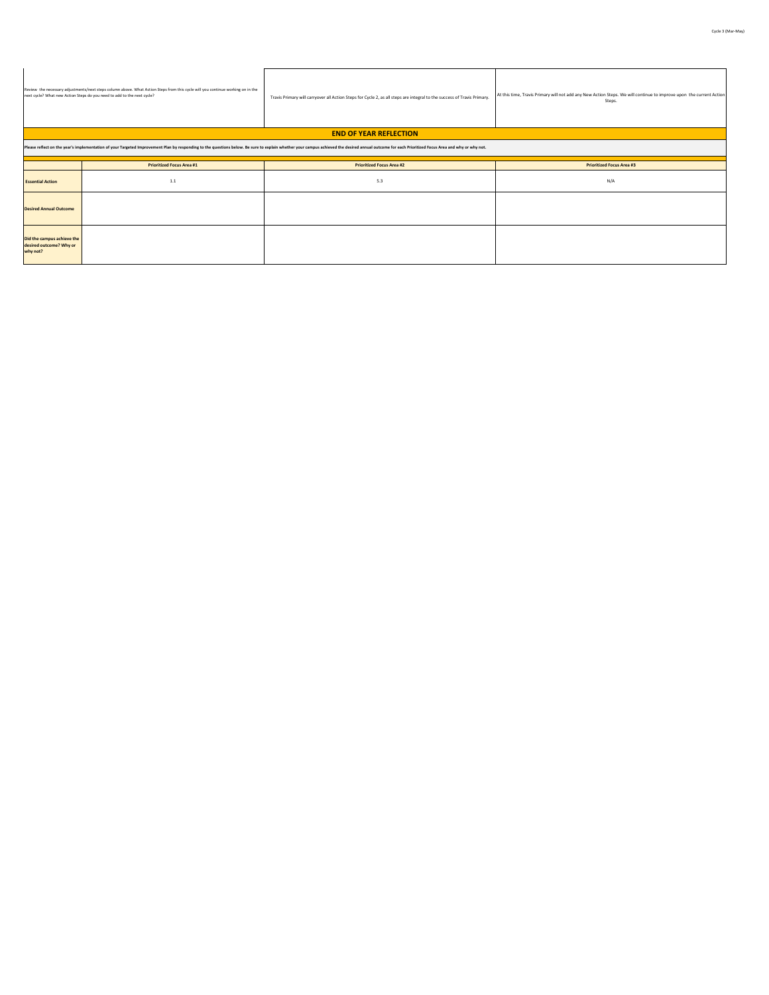|                                                                   | Review the necessary adjustments/next steps column above. What Action Steps from this cycle will you continue working on in the<br>next cycle? What new Action Steps do you need to add to the next cycle?                     | Travis Primary will carryover all Action Steps for Cycle 2, as all steps are integral to the success of Travis Primary. | At this time, Travis Primary will not add any New Action Steps. We will continue to improve upon the current Action<br>Steps. |  |  |  |  |  |  |  |  |  |
|-------------------------------------------------------------------|--------------------------------------------------------------------------------------------------------------------------------------------------------------------------------------------------------------------------------|-------------------------------------------------------------------------------------------------------------------------|-------------------------------------------------------------------------------------------------------------------------------|--|--|--|--|--|--|--|--|--|
| <b>END OF YEAR REFLECTION</b>                                     |                                                                                                                                                                                                                                |                                                                                                                         |                                                                                                                               |  |  |  |  |  |  |  |  |  |
|                                                                   | Please reflect on the year's implementation of your Targeted Improvement Plan by responding to the questions below. Be sure to explain whether your campus achieved the desired annual outcome for each Prioritized Focus Area |                                                                                                                         |                                                                                                                               |  |  |  |  |  |  |  |  |  |
|                                                                   | <b>Prioritized Focus Area #1</b>                                                                                                                                                                                               | <b>Prioritized Focus Area #2</b>                                                                                        | <b>Prioritized Focus Area #3</b>                                                                                              |  |  |  |  |  |  |  |  |  |
| <b>Essential Action</b>                                           | $1.1\,$                                                                                                                                                                                                                        | 5.3                                                                                                                     | N/A                                                                                                                           |  |  |  |  |  |  |  |  |  |
| <b>Desired Annual Outcome</b>                                     |                                                                                                                                                                                                                                |                                                                                                                         |                                                                                                                               |  |  |  |  |  |  |  |  |  |
| Did the campus achieve the<br>desired outcome? Why or<br>why not? |                                                                                                                                                                                                                                |                                                                                                                         |                                                                                                                               |  |  |  |  |  |  |  |  |  |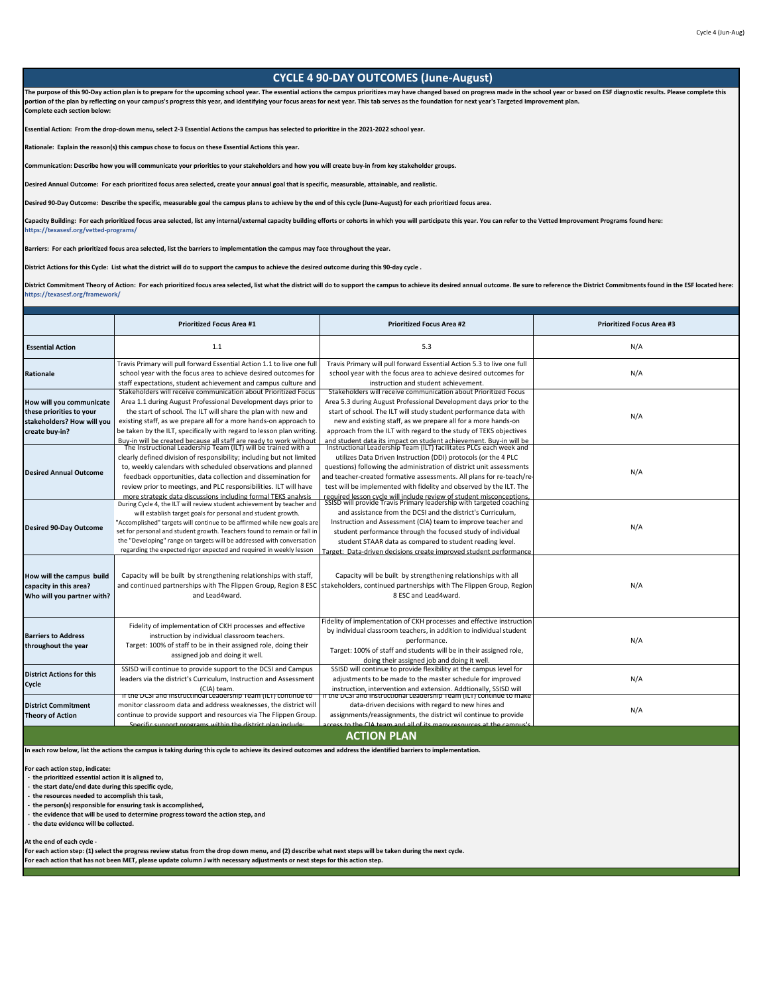## **CYCLE 4 90-DAY OUTCOMES (June-August)** The purpose of this 90-Day action plan is to prepare for the upcoming school year. The essential actions the campus prioritizes may have changed based on progress made in the school year or based on ESF diagnostic results. **portion of the plan by reflecting on your campus's progress this year, and identifying your focus areas for next year. This tab serves as the foundation for next year's Targeted Improvement plan. Complete each section below: Essential Action: From the drop-down menu, select 2-3 Essential Actions the campus has selected to prioritize in the 2021-2022 school year. Rationale: Explain the reason(s) this campus chose to focus on these Essential Actions this year. Communication: Describe how you will communicate your priorities to your stakeholders and how you will create buy-in from key stakeholder groups.**

**Desired Annual Outcome: For each prioritized focus area selected, create your annual goal that is specific, measurable, attainable, and realistic.** 

**Desired 90-Day Outcome: Describe the specific, measurable goal the campus plans to achieve by the end of this cycle (June-August) for each prioritized focus area.**

Capacity Building: For each prioritized focus area selected, list any internal/external capacity building efforts or cohorts in which you will participate this year. You can refer to the Vetted Improvement Programs found h **https://texasesf.org/vetted-programs/**

**Barriers: For each prioritized focus area selected, list the barriers to implementation the campus may face throughout the year.**

**District Actions for this Cycle: List what the district will do to support the campus to achieve the desired outcome during this 90-day cycle .**

District Commitment Theory of Action: For each prioritized focus area selected, list what the district will do to support the campus to achieve its desired annual outcome. Be sure to reference the District Commitments foun **https://texasesf.org/framework/**

|                                                                                                      | <b>Prioritized Focus Area #1</b>                                                                                                                                                                                                                                                                                                                                                                                                                                                      | <b>Prioritized Focus Area #2</b>                                                                                                                                                                                                                                                                                                                                                                                                                                           | <b>Prioritized Focus Area #3</b> |
|------------------------------------------------------------------------------------------------------|---------------------------------------------------------------------------------------------------------------------------------------------------------------------------------------------------------------------------------------------------------------------------------------------------------------------------------------------------------------------------------------------------------------------------------------------------------------------------------------|----------------------------------------------------------------------------------------------------------------------------------------------------------------------------------------------------------------------------------------------------------------------------------------------------------------------------------------------------------------------------------------------------------------------------------------------------------------------------|----------------------------------|
| <b>Essential Action</b>                                                                              | 1.1                                                                                                                                                                                                                                                                                                                                                                                                                                                                                   | 5.3                                                                                                                                                                                                                                                                                                                                                                                                                                                                        | N/A                              |
| Rationale                                                                                            | Travis Primary will pull forward Essential Action 1.1 to live one full<br>school year with the focus area to achieve desired outcomes for<br>staff expectations, student achievement and campus culture and                                                                                                                                                                                                                                                                           | Travis Primary will pull forward Essential Action 5.3 to live one full<br>school year with the focus area to achieve desired outcomes for<br>instruction and student achievement.                                                                                                                                                                                                                                                                                          | N/A                              |
| How will you communicate<br>these priorities to your<br>stakeholders? How will you<br>create buy-in? | Stakeholders will receive communication about Prioritized Focus<br>Area 1.1 during August Professional Development days prior to<br>the start of school. The ILT will share the plan with new and<br>existing staff, as we prepare all for a more hands-on approach to<br>be taken by the ILT, specifically with regard to lesson plan writing.                                                                                                                                       | Stakeholders will receive communication about Prioritized Focus<br>Area 5.3 during August Professional Development days prior to the<br>start of school. The ILT will study student performance data with<br>new and existing staff, as we prepare all for a more hands-on<br>approach from the ILT with regard to the study of TEKS objectives                                                                                                                            | N/A                              |
| <b>Desired Annual Outcome</b>                                                                        | Buy-in will be created because all staff are ready to work without<br>The Instructional Leadership Team (ILT) will be trained with a<br>clearly defined division of responsibility; including but not limited<br>to, weekly calendars with scheduled observations and planned<br>feedback opportunities, data collection and dissemination for<br>review prior to meetings, and PLC responsibilities. ILT will have<br>more strategic data discussions including formal TEKS analysis | and student data its impact on student achievement. Buy-in will be<br>Instructional Leadership Team (ILT) facilitates PLCs each week and<br>utilizes Data Driven Instruction (DDI) protocols (or the 4 PLC<br>questions) following the administration of district unit assessments<br>and teacher-created formative assessments. All plans for re-teach/re-<br>test will be implemented with fidelity and observed by the ILT. The                                         | N/A                              |
| <b>Desired 90-Day Outcome</b>                                                                        | During Cycle 4, the ILT will review student achievement by teacher and<br>will establish target goals for personal and student growth.<br>"Accomplished" targets will continue to be affirmed while new goals are<br>set for personal and student growth. Teachers found to remain or fall in<br>the "Developing" range on targets will be addressed with conversation<br>regarding the expected rigor expected and required in weekly lesson                                         | required lesson cycle will include review of student misconceptions,<br>SSISD will provide Travis Primary leadership with targeted coaching<br>and assistance from the DCSI and the district's Curriculum,<br>Instruction and Assessment (CIA) team to improve teacher and<br>student performance through the focused study of individual<br>student STAAR data as compared to student reading level.<br>Target: Data-driven decisions create improved student performance | N/A                              |
| How will the campus build<br>capacity in this area?<br>Who will you partner with?                    | Capacity will be built by strengthening relationships with staff,<br>and Lead4ward.                                                                                                                                                                                                                                                                                                                                                                                                   | Capacity will be built by strengthening relationships with all<br>and continued partnerships with The Flippen Group, Region 8 ESC   stakeholders, continued partnerships with The Flippen Group, Region<br>8 ESC and Lead4ward.                                                                                                                                                                                                                                            | N/A                              |
| <b>Barriers to Address</b><br>throughout the year                                                    | Fidelity of implementation of CKH processes and effective<br>instruction by individual classroom teachers.<br>Target: 100% of staff to be in their assigned role, doing their<br>assigned job and doing it well.                                                                                                                                                                                                                                                                      | Fidelity of implementation of CKH processes and effective instruction<br>by individual classroom teachers, in addition to individual student<br>performance.<br>Target: 100% of staff and students will be in their assigned role,<br>doing their assigned job and doing it well.                                                                                                                                                                                          | N/A                              |
| <b>District Actions for this</b><br>Cycle                                                            | SSISD will continue to provide support to the DCSI and Campus<br>leaders via the district's Curriculum, Instruction and Assessment<br>(CIA) team.                                                                                                                                                                                                                                                                                                                                     | SSISD will continue to provide flexibility at the campus level for<br>adjustments to be made to the master schedule for improved<br>instruction, intervention and extension. Addtionally, SSISD will                                                                                                                                                                                                                                                                       | N/A                              |
| <b>District Commitment</b><br><b>Theory of Action</b>                                                | in the DCSI and instructingal Leadership Team (ILT) continue to<br>monitor classroom data and address weaknesses, the district will<br>continue to provide support and resources via The Flippen Group.<br>Specific support programs within the district plan include:                                                                                                                                                                                                                | the DCSI and instructional Leadership Team (ILT) continue to make<br>data-driven decisions with regard to new hires and<br>assignments/reassignments, the district wil continue to provide<br>cross to the CIA team and all of its many resources at the campus!                                                                                                                                                                                                           | N/A                              |
|                                                                                                      |                                                                                                                                                                                                                                                                                                                                                                                                                                                                                       | <b>ACTION PLAN</b>                                                                                                                                                                                                                                                                                                                                                                                                                                                         |                                  |
|                                                                                                      | In each row below list the actions the campus is taking during this cycle to achieve its desired outcomes and address the identified barriers to implementation.                                                                                                                                                                                                                                                                                                                      |                                                                                                                                                                                                                                                                                                                                                                                                                                                                            |                                  |

**In the campus is to implementations in the campus is the contribution** 

**For each action step, indicate:**

 **- the prioritized essential action it is aligned to,**

 **- the start date/end date during this specific cycle,**

 **- the resources needed to accomplish this task,**

 **- the person(s) responsible for ensuring task is accomplished, - the evidence that will be used to determine progress toward the action step, and**

 **- the date evidence will be collected.**

**At the end of each cycle -** 

For each action step: (1) select the progress review status from the drop down menu, and (2) describe what next steps will be taken during the next cycle.<br>For each action that has not been MET, please update column J with